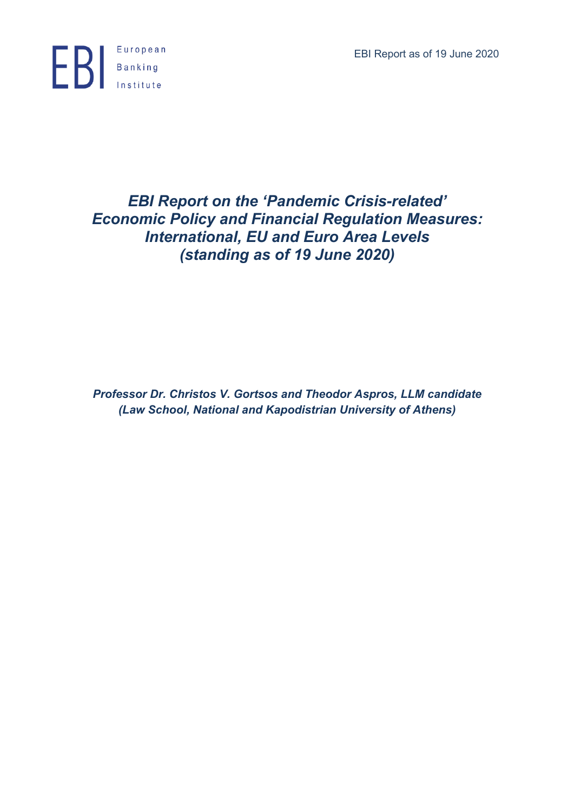EBI Report as of 19 June 2020



# *EBI Report on the 'Pandemic Crisis-related' Economic Policy and Financial Regulation Measures: International, EU and Euro Area Levels (standing as of 19 June 2020)*

*Professor Dr. Christos V. Gortsos and Theodor Aspros, LLM candidate (Law School, National and Kapodistrian University of Athens)*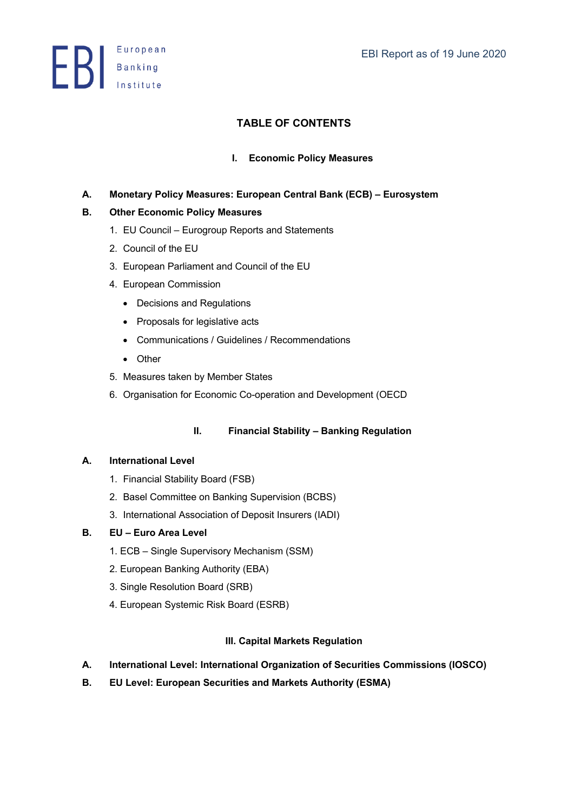**ED** Banking

# **TABLE OF CONTENTS**

# **I. Economic Policy Measures**

# **A. Monetary Policy Measures: European Central Bank (ECB) – Eurosystem**

# **B. Other Economic Policy Measures**

- 1. EU Council Eurogroup Reports and Statements
- 2. Council of the EU
- 3. European Parliament and Council of the EU
- 4. European Commission
	- Decisions and Regulations
	- Proposals for legislative acts
	- Communications / Guidelines / Recommendations
	- Other
- 5. Measures taken by Member States
- 6. Organisation for Economic Co-operation and Development (OECD

# **II. Financial Stability – Banking Regulation**

# **A. International Level**

- 1. Financial Stability Board (FSB)
- 2. Basel Committee on Banking Supervision (BCBS)
- 3. International Association of Deposit Insurers (IADI)

# **B. EU – Euro Area Level**

- 1. ECB Single Supervisory Mechanism (SSM)
- 2. European Banking Authority (EBA)
- 3. Single Resolution Board (SRB)
- 4. European Systemic Risk Board (ESRB)

# **III. Capital Markets Regulation**

- **A. International Level: International Organization of Securities Commissions (IOSCO)**
- **B. EU Level: European Securities and Markets Authority (ESMA)**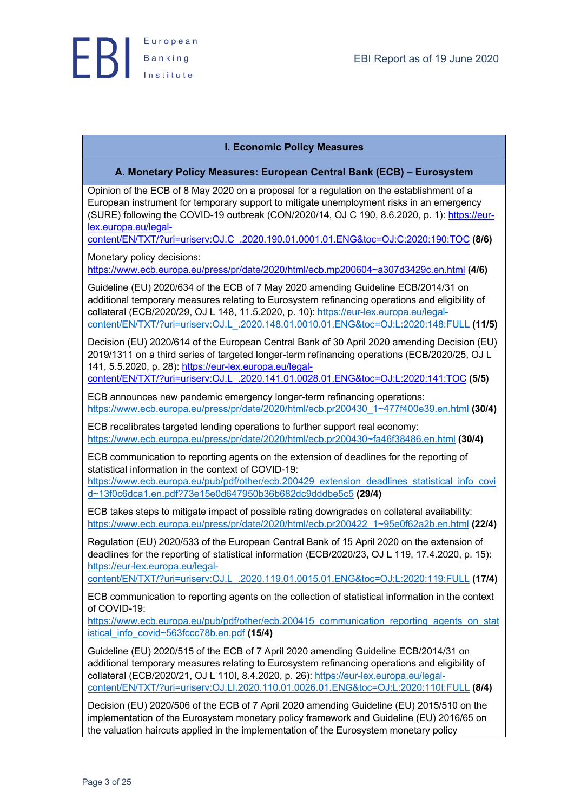

# **I. Economic Policy Measures**

# **A. Monetary Policy Measures: European Central Bank (ECB) – Eurosystem**

Opinion of the ECB of 8 May 2020 on a proposal for a regulation on the establishment of a European instrument for temporary support to mitigate unemployment risks in an emergency (SURE) following the COVID-19 outbreak (CON/2020/14, OJ C 190, 8.6.2020, p. 1): https://eurlex.europa.eu/legal-

content/EN/TXT/?uri=uriserv:OJ.C\_.2020.190.01.0001.01.ENG&toc=OJ:C:2020:190:TOC **(8/6)**

Monetary policy decisions:

https://www.ecb.europa.eu/press/pr/date/2020/html/ecb.mp200604~a307d3429c.en.html **(4/6)**

Guideline (EU) 2020/634 of the ECB of 7 May 2020 amending Guideline ECB/2014/31 on additional temporary measures relating to Eurosystem refinancing operations and eligibility of collateral (ECB/2020/29, OJ L 148, 11.5.2020, p. 10): https://eur-lex.europa.eu/legalcontent/EN/TXT/?uri=uriserv:OJ.L\_.2020.148.01.0010.01.ENG&toc=OJ:L:2020:148:FULL **(11/5)**

Decision (EU) 2020/614 of the European Central Bank of 30 April 2020 amending Decision (EU) 2019/1311 on a third series of targeted longer-term refinancing operations (ECB/2020/25, OJ L 141, 5.5.2020, p. 28): https://eur-lex.europa.eu/legal-

content/EN/TXT/?uri=uriserv:OJ.L\_.2020.141.01.0028.01.ENG&toc=OJ:L:2020:141:TOC **(5/5)**

ECB announces new pandemic emergency longer-term refinancing operations: https://www.ecb.europa.eu/press/pr/date/2020/html/ecb.pr200430\_1~477f400e39.en.html **(30/4)**

ECB recalibrates targeted lending operations to further support real economy: https://www.ecb.europa.eu/press/pr/date/2020/html/ecb.pr200430~fa46f38486.en.html **(30/4)**

ECB communication to reporting agents on the extension of deadlines for the reporting of statistical information in the context of COVID-19:

https://www.ecb.europa.eu/pub/pdf/other/ecb.200429\_extension\_deadlines\_statistical\_info\_covi d~13f0c6dca1.en.pdf?73e15e0d647950b36b682dc9dddbe5c5 **(29/4)**

ECB takes steps to mitigate impact of possible rating downgrades on collateral availability: https://www.ecb.europa.eu/press/pr/date/2020/html/ecb.pr200422\_1~95e0f62a2b.en.html **(22/4)**

Regulation (EU) 2020/533 of the European Central Bank of 15 April 2020 on the extension of deadlines for the reporting of statistical information (ECB/2020/23, OJ L 119, 17.4.2020, p. 15): https://eur-lex.europa.eu/legal-

content/EN/TXT/?uri=uriserv:OJ.L\_.2020.119.01.0015.01.ENG&toc=OJ:L:2020:119:FULL **(17/4)**

ECB communication to reporting agents on the collection of statistical information in the context of COVID-19:

https://www.ecb.europa.eu/pub/pdf/other/ecb.200415\_communication\_reporting\_agents\_on\_stat istical\_info\_covid~563fccc78b.en.pdf **(15/4)**

Guideline (EU) 2020/515 of the ECB of 7 April 2020 amending Guideline ECB/2014/31 on additional temporary measures relating to Eurosystem refinancing operations and eligibility of collateral (ECB/2020/21, OJ L 110I, 8.4.2020, p. 26): https://eur-lex.europa.eu/legalcontent/EN/TXT/?uri=uriserv:OJ.LI.2020.110.01.0026.01.ENG&toc=OJ:L:2020:110I:FULL **(8/4)**

Decision (EU) 2020/506 of the ECB of 7 April 2020 amending Guideline (EU) 2015/510 on the implementation of the Eurosystem monetary policy framework and Guideline (EU) 2016/65 on the valuation haircuts applied in the implementation of the Eurosystem monetary policy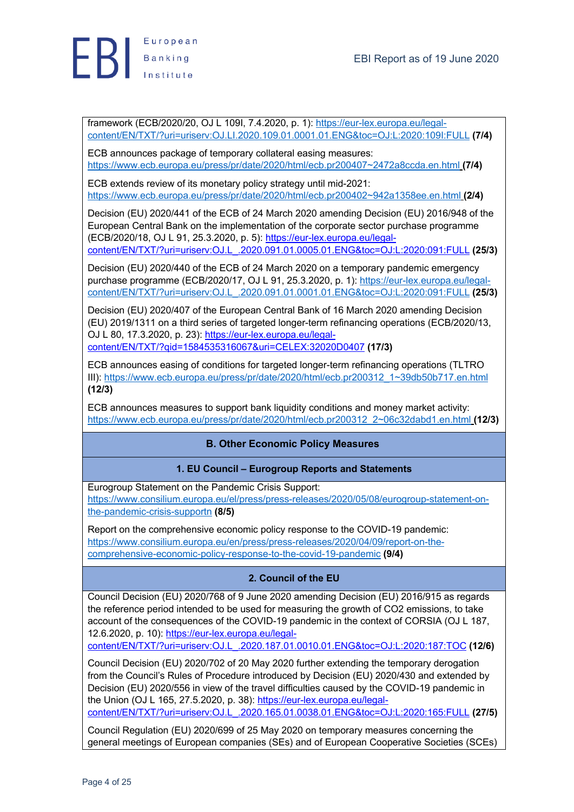

framework (ECB/2020/20, OJ L 109I, 7.4.2020, p. 1): https://eur-lex.europa.eu/legalcontent/EN/TXT/?uri=uriserv:OJ.LI.2020.109.01.0001.01.ENG&toc=OJ:L:2020:109I:FULL **(7/4)**

ECB announces package of temporary collateral easing measures: https://www.ecb.europa.eu/press/pr/date/2020/html/ecb.pr200407~2472a8ccda.en.html **(7/4)**

ECB extends review of its monetary policy strategy until mid-2021: https://www.ecb.europa.eu/press/pr/date/2020/html/ecb.pr200402~942a1358ee.en.html **(2/4)**

Decision (EU) 2020/441 of the ECB of 24 March 2020 amending Decision (EU) 2016/948 of the European Central Bank on the implementation of the corporate sector purchase programme (ECB/2020/18, OJ L 91, 25.3.2020, p. 5): https://eur-lex.europa.eu/legalcontent/EN/TXT/?uri=uriserv:OJ.L\_.2020.091.01.0005.01.ENG&toc=OJ:L:2020:091:FULL **(25/3)**

Decision (EU) 2020/440 of the ECB of 24 March 2020 on a temporary pandemic emergency purchase programme (ECB/2020/17, OJ L 91, 25.3.2020, p. 1): https://eur-lex.europa.eu/legalcontent/EN/TXT/?uri=uriserv:OJ.L\_.2020.091.01.0001.01.ENG&toc=OJ:L:2020:091:FULL **(25/3)**

Decision (EU) 2020/407 of the European Central Bank of 16 March 2020 amending Decision (EU) 2019/1311 on a third series of targeted longer-term refinancing operations (ECB/2020/13, OJ L 80, 17.3.2020, p. 23): https://eur-lex.europa.eu/legalcontent/EN/TXT/?qid=1584535316067&uri=CELEX:32020D0407 **(17/3)**

ECB announces easing of conditions for targeted longer-term refinancing operations (TLTRO III): https://www.ecb.europa.eu/press/pr/date/2020/html/ecb.pr200312\_1~39db50b717.en.html **(12/3)**

ECB announces measures to support bank liquidity conditions and money market activity: https://www.ecb.europa.eu/press/pr/date/2020/html/ecb.pr200312\_2~06c32dabd1.en.html **(12/3)**

# **B. Other Economic Policy Measures**

# **1. EU Council – Eurogroup Reports and Statements**

Eurogroup Statement on the Pandemic Crisis Support: https://www.consilium.europa.eu/el/press/press-releases/2020/05/08/eurogroup-statement-onthe-pandemic-crisis-supportn **(8/5)**

Report on the comprehensive economic policy response to the COVID-19 pandemic: https://www.consilium.europa.eu/en/press/press-releases/2020/04/09/report-on-thecomprehensive-economic-policy-response-to-the-covid-19-pandemic **(9/4)**

# **2. Council of the EU**

Council Decision (EU) 2020/768 of 9 June 2020 amending Decision (EU) 2016/915 as regards the reference period intended to be used for measuring the growth of CO2 emissions, to take account of the consequences of the COVID-19 pandemic in the context of CORSIA (OJ L 187, 12.6.2020, p. 10): https://eur-lex.europa.eu/legal-

content/EN/TXT/?uri=uriserv:OJ.L\_.2020.187.01.0010.01.ENG&toc=OJ:L:2020:187:TOC **(12/6)**

Council Decision (EU) 2020/702 of 20 May 2020 further extending the temporary derogation from the Council's Rules of Procedure introduced by Decision (EU) 2020/430 and extended by Decision (EU) 2020/556 in view of the travel difficulties caused by the COVID-19 pandemic in the Union (OJ L 165, 27.5.2020, p. 38): https://eur-lex.europa.eu/legal-

content/EN/TXT/?uri=uriserv:OJ.L\_.2020.165.01.0038.01.ENG&toc=OJ:L:2020:165:FULL **(27/5)**

Council Regulation (EU) 2020/699 of 25 May 2020 on temporary measures concerning the general meetings of European companies (SEs) and of European Cooperative Societies (SCEs)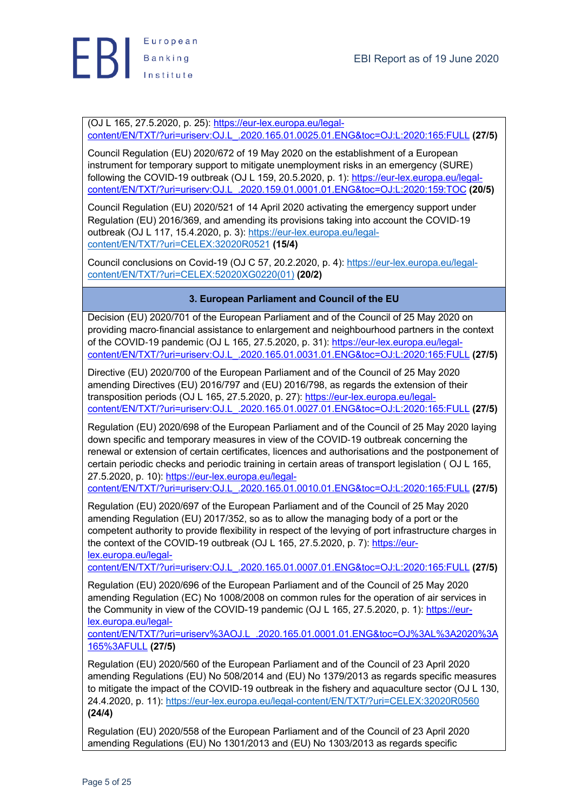

(OJ L 165, 27.5.2020, p. 25): https://eur-lex.europa.eu/legalcontent/EN/TXT/?uri=uriserv:OJ.L\_.2020.165.01.0025.01.ENG&toc=OJ:L:2020:165:FULL **(27/5)**

Council Regulation (EU) 2020/672 of 19 May 2020 on the establishment of a European instrument for temporary support to mitigate unemployment risks in an emergency (SURE) following the COVID-19 outbreak (OJ L 159, 20.5.2020, p. 1): https://eur-lex.europa.eu/legalcontent/EN/TXT/?uri=uriserv:OJ.L\_.2020.159.01.0001.01.ENG&toc=OJ:L:2020:159:TOC **(20/5)**

Council Regulation (EU) 2020/521 of 14 April 2020 activating the emergency support under Regulation (EU) 2016/369, and amending its provisions taking into account the COVID-19 outbreak (OJ L 117, 15.4.2020, p. 3): https://eur-lex.europa.eu/legalcontent/EN/TXT/?uri=CELEX:32020R0521 **(15/4)**

Council conclusions on Covid-19 (OJ C 57, 20.2.2020, p. 4): https://eur-lex.europa.eu/legalcontent/EN/TXT/?uri=CELEX:52020XG0220(01) **(20/2)**

# **3. European Parliament and Council of the EU**

Decision (EU) 2020/701 of the European Parliament and of the Council of 25 May 2020 on providing macro-financial assistance to enlargement and neighbourhood partners in the context of the COVID-19 pandemic (OJ L 165, 27.5.2020, p. 31): https://eur-lex.europa.eu/legalcontent/EN/TXT/?uri=uriserv:OJ.L\_.2020.165.01.0031.01.ENG&toc=OJ:L:2020:165:FULL **(27/5)**

Directive (EU) 2020/700 of the European Parliament and of the Council of 25 May 2020 amending Directives (EU) 2016/797 and (EU) 2016/798, as regards the extension of their transposition periods (OJ L 165, 27.5.2020, p. 27): https://eur-lex.europa.eu/legalcontent/EN/TXT/?uri=uriserv:OJ.L\_.2020.165.01.0027.01.ENG&toc=OJ:L:2020:165:FULL **(27/5)**

Regulation (EU) 2020/698 of the European Parliament and of the Council of 25 May 2020 laying down specific and temporary measures in view of the COVID-19 outbreak concerning the renewal or extension of certain certificates, licences and authorisations and the postponement of certain periodic checks and periodic training in certain areas of transport legislation ( OJ L 165, 27.5.2020, p. 10): https://eur-lex.europa.eu/legal-

content/EN/TXT/?uri=uriserv:OJ.L\_.2020.165.01.0010.01.ENG&toc=OJ:L:2020:165:FULL **(27/5)**

Regulation (EU) 2020/697 of the European Parliament and of the Council of 25 May 2020 amending Regulation (EU) 2017/352, so as to allow the managing body of a port or the competent authority to provide flexibility in respect of the levying of port infrastructure charges in the context of the COVID-19 outbreak (OJ L 165, 27.5.2020, p. 7): https://eurlex.europa.eu/legal-

content/EN/TXT/?uri=uriserv:OJ.L\_.2020.165.01.0007.01.ENG&toc=OJ:L:2020:165:FULL **(27/5)**

Regulation (EU) 2020/696 of the European Parliament and of the Council of 25 May 2020 amending Regulation (EC) No 1008/2008 on common rules for the operation of air services in the Community in view of the COVID-19 pandemic (OJ L 165, 27.5.2020, p. 1): https://eurlex.europa.eu/legal-

content/EN/TXT/?uri=uriserv%3AOJ.L\_.2020.165.01.0001.01.ENG&toc=OJ%3AL%3A2020%3A 165%3AFULL **(27/5)**

Regulation (EU) 2020/560 of the European Parliament and of the Council of 23 April 2020 amending Regulations (EU) No 508/2014 and (EU) No 1379/2013 as regards specific measures to mitigate the impact of the COVID-19 outbreak in the fishery and aquaculture sector (OJ L 130, 24.4.2020, p. 11): https://eur-lex.europa.eu/legal-content/EN/TXT/?uri=CELEX:32020R0560 **(24/4)**

Regulation (EU) 2020/558 of the European Parliament and of the Council of 23 April 2020 amending Regulations (EU) No 1301/2013 and (EU) No 1303/2013 as regards specific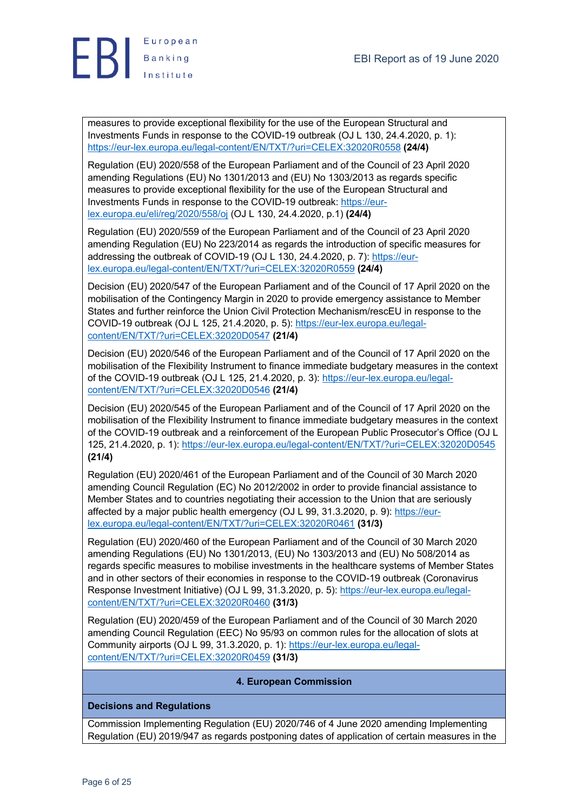

measures to provide exceptional flexibility for the use of the European Structural and Investments Funds in response to the COVID-19 outbreak (OJ L 130, 24.4.2020, p. 1): https://eur-lex.europa.eu/legal-content/EN/TXT/?uri=CELEX:32020R0558 **(24/4)**

Regulation (EU) 2020/558 of the European Parliament and of the Council of 23 April 2020 amending Regulations (EU) No 1301/2013 and (EU) No 1303/2013 as regards specific measures to provide exceptional flexibility for the use of the European Structural and Investments Funds in response to the COVID-19 outbreak: https://eurlex.europa.eu/eli/reg/2020/558/oj (OJ L 130, 24.4.2020, p.1) **(24/4)**

Regulation (EU) 2020/559 of the European Parliament and of the Council of 23 April 2020 amending Regulation (EU) No 223/2014 as regards the introduction of specific measures for addressing the outbreak of COVID-19 (OJ L 130, 24.4.2020, p. 7): https://eurlex.europa.eu/legal-content/EN/TXT/?uri=CELEX:32020R0559 **(24/4)**

Decision (EU) 2020/547 of the European Parliament and of the Council of 17 April 2020 on the mobilisation of the Contingency Margin in 2020 to provide emergency assistance to Member States and further reinforce the Union Civil Protection Mechanism/rescEU in response to the COVID-19 outbreak (OJ L 125, 21.4.2020, p. 5): https://eur-lex.europa.eu/legalcontent/EN/TXT/?uri=CELEX:32020D0547 **(21/4)**

Decision (EU) 2020/546 of the European Parliament and of the Council of 17 April 2020 on the mobilisation of the Flexibility Instrument to finance immediate budgetary measures in the context of the COVID-19 outbreak (OJ L 125, 21.4.2020, p. 3): https://eur-lex.europa.eu/legalcontent/EN/TXT/?uri=CELEX:32020D0546 **(21/4)**

Decision (EU) 2020/545 of the European Parliament and of the Council of 17 April 2020 on the mobilisation of the Flexibility Instrument to finance immediate budgetary measures in the context of the COVID-19 outbreak and a reinforcement of the European Public Prosecutor's Office (OJ L 125, 21.4.2020, p. 1): https://eur-lex.europa.eu/legal-content/EN/TXT/?uri=CELEX:32020D0545 **(21/4)**

Regulation (EU) 2020/461 of the European Parliament and of the Council of 30 March 2020 amending Council Regulation (EC) No 2012/2002 in order to provide financial assistance to Member States and to countries negotiating their accession to the Union that are seriously affected by a major public health emergency (OJ L 99, 31.3.2020, p. 9): https://eurlex.europa.eu/legal-content/EN/TXT/?uri=CELEX:32020R0461 **(31/3)**

Regulation (EU) 2020/460 of the European Parliament and of the Council of 30 March 2020 amending Regulations (EU) No 1301/2013, (EU) No 1303/2013 and (EU) No 508/2014 as regards specific measures to mobilise investments in the healthcare systems of Member States and in other sectors of their economies in response to the COVID-19 outbreak (Coronavirus Response Investment Initiative) (OJ L 99, 31.3.2020, p. 5): https://eur-lex.europa.eu/legalcontent/EN/TXT/?uri=CELEX:32020R0460 **(31/3)**

Regulation (EU) 2020/459 of the European Parliament and of the Council of 30 March 2020 amending Council Regulation (EEC) No 95/93 on common rules for the allocation of slots at Community airports (OJ L 99, 31.3.2020, p. 1): https://eur-lex.europa.eu/legalcontent/EN/TXT/?uri=CELEX:32020R0459 **(31/3)**

# **4. European Commission**

# **Decisions and Regulations**

Commission Implementing Regulation (EU) 2020/746 of 4 June 2020 amending Implementing Regulation (EU) 2019/947 as regards postponing dates of application of certain measures in the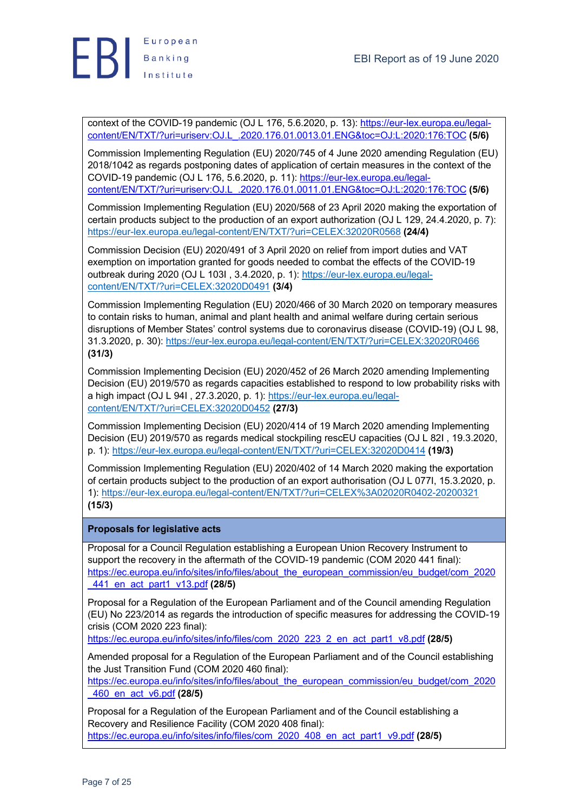

context of the COVID-19 pandemic (OJ L 176, 5.6.2020, p. 13): https://eur-lex.europa.eu/legalcontent/EN/TXT/?uri=uriserv:OJ.L\_.2020.176.01.0013.01.ENG&toc=OJ:L:2020:176:TOC **(5/6)**

Commission Implementing Regulation (EU) 2020/745 of 4 June 2020 amending Regulation (EU) 2018/1042 as regards postponing dates of application of certain measures in the context of the COVID-19 pandemic (OJ L 176, 5.6.2020, p. 11): https://eur-lex.europa.eu/legalcontent/EN/TXT/?uri=uriserv:OJ.L\_.2020.176.01.0011.01.ENG&toc=OJ:L:2020:176:TOC **(5/6)**

Commission Implementing Regulation (EU) 2020/568 of 23 April 2020 making the exportation of certain products subject to the production of an export authorization (OJ L 129, 24.4.2020, p. 7): https://eur-lex.europa.eu/legal-content/EN/TXT/?uri=CELEX:32020R0568 **(24/4)**

Commission Decision (EU) 2020/491 of 3 April 2020 on relief from import duties and VAT exemption on importation granted for goods needed to combat the effects of the COVID-19 outbreak during 2020 (OJ L 103I, 3.4.2020, p. 1): https://eur-lex.europa.eu/legalcontent/EN/TXT/?uri=CELEX:32020D0491 **(3/4)**

Commission Implementing Regulation (EU) 2020/466 of 30 March 2020 on temporary measures to contain risks to human, animal and plant health and animal welfare during certain serious disruptions of Member States' control systems due to coronavirus disease (COVID-19) (OJ L 98, 31.3.2020, p. 30): https://eur-lex.europa.eu/legal-content/EN/TXT/?uri=CELEX:32020R0466 **(31/3)**

Commission Implementing Decision (EU) 2020/452 of 26 March 2020 amending Implementing Decision (EU) 2019/570 as regards capacities established to respond to low probability risks with a high impact (OJ L 94I , 27.3.2020, p. 1): https://eur-lex.europa.eu/legalcontent/EN/TXT/?uri=CELEX:32020D0452 **(27/3)**

Commission Implementing Decision (EU) 2020/414 of 19 March 2020 amending Implementing Decision (EU) 2019/570 as regards medical stockpiling rescEU capacities (OJ L 82I , 19.3.2020, p. 1): https://eur-lex.europa.eu/legal-content/EN/TXT/?uri=CELEX:32020D0414 **(19/3)**

Commission Implementing Regulation (EU) 2020/402 of 14 March 2020 making the exportation of certain products subject to the production of an export authorisation (OJ L 077I, 15.3.2020, p. 1): https://eur-lex.europa.eu/legal-content/EN/TXT/?uri=CELEX%3A02020R0402-20200321 **(15/3)**

# **Proposals for legislative acts**

Proposal for a Council Regulation establishing a European Union Recovery Instrument to support the recovery in the aftermath of the COVID-19 pandemic (COM 2020 441 final): https://ec.europa.eu/info/sites/info/files/about\_the\_european\_commission/eu\_budget/com\_2020 \_441\_en\_act\_part1\_v13.pdf **(28/5)**

Proposal for a Regulation of the European Parliament and of the Council amending Regulation (EU) No 223/2014 as regards the introduction of specific measures for addressing the COVID-19 crisis (COM 2020 223 final):

https://ec.europa.eu/info/sites/info/files/com\_2020\_223\_2\_en\_act\_part1\_v8.pdf **(28/5)**

Amended proposal for a Regulation of the European Parliament and of the Council establishing the Just Transition Fund (COM 2020 460 final):

https://ec.europa.eu/info/sites/info/files/about\_the\_european\_commission/eu\_budget/com\_2020 \_460\_en\_act\_v6.pdf **(28/5)**

Proposal for a Regulation of the European Parliament and of the Council establishing a Recovery and Resilience Facility (COM 2020 408 final): https://ec.europa.eu/info/sites/info/files/com\_2020\_408\_en\_act\_part1\_v9.pdf **(28/5)**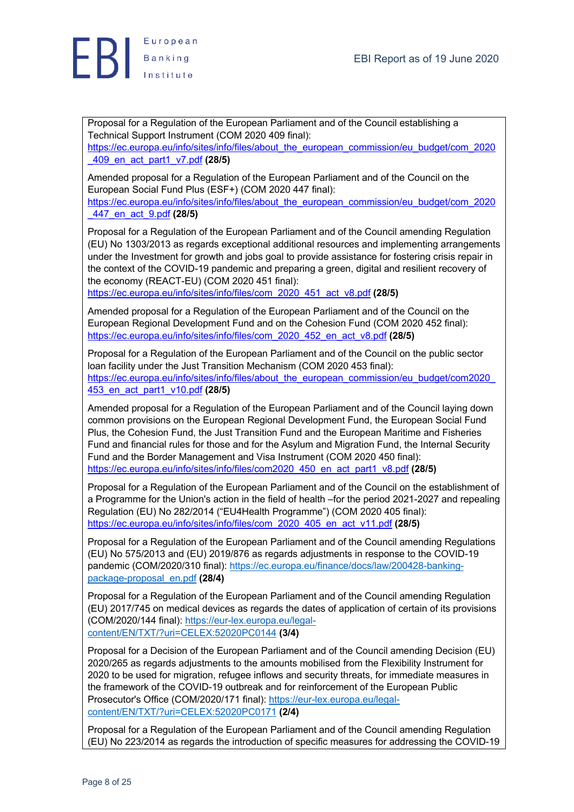

Proposal for a Regulation of the European Parliament and of the Council establishing a Technical Support Instrument (COM 2020 409 final): https://ec.europa.eu/info/sites/info/files/about\_the\_european\_commission/eu\_budget/com\_2020 \_409\_en\_act\_part1\_v7.pdf **(28/5)**

Amended proposal for a Regulation of the European Parliament and of the Council on the European Social Fund Plus (ESF+) (COM 2020 447 final):

https://ec.europa.eu/info/sites/info/files/about\_the\_european\_commission/eu\_budget/com\_2020 \_447\_en\_act\_9.pdf **(28/5)**

Proposal for a Regulation of the European Parliament and of the Council amending Regulation (EU) No 1303/2013 as regards exceptional additional resources and implementing arrangements under the Investment for growth and jobs goal to provide assistance for fostering crisis repair in the context of the COVID-19 pandemic and preparing a green, digital and resilient recovery of the economy (REACT-EU) (COM 2020 451 final):

https://ec.europa.eu/info/sites/info/files/com\_2020\_451\_act\_v8.pdf **(28/5)**

Amended proposal for a Regulation of the European Parliament and of the Council on the European Regional Development Fund and on the Cohesion Fund (COM 2020 452 final): https://ec.europa.eu/info/sites/info/files/com\_2020\_452\_en\_act\_v8.pdf **(28/5)**

Proposal for a Regulation of the European Parliament and of the Council on the public sector loan facility under the Just Transition Mechanism (COM 2020 453 final): https://ec.europa.eu/info/sites/info/files/about\_the\_european\_commission/eu\_budget/com2020 453\_en\_act\_part1\_v10.pdf **(28/5)**

Amended proposal for a Regulation of the European Parliament and of the Council laying down common provisions on the European Regional Development Fund, the European Social Fund Plus, the Cohesion Fund, the Just Transition Fund and the European Maritime and Fisheries Fund and financial rules for those and for the Asylum and Migration Fund, the Internal Security Fund and the Border Management and Visa Instrument (COM 2020 450 final): https://ec.europa.eu/info/sites/info/files/com2020\_450\_en\_act\_part1\_v8.pdf **(28/5)**

Proposal for a Regulation of the European Parliament and of the Council on the establishment of a Programme for the Union's action in the field of health –for the period 2021-2027 and repealing Regulation (EU) No 282/2014 ("EU4Health Programme") (COM 2020 405 final): https://ec.europa.eu/info/sites/info/files/com\_2020\_405\_en\_act\_v11.pdf **(28/5)**

Proposal for a Regulation of the European Parliament and of the Council amending Regulations (EU) No 575/2013 and (EU) 2019/876 as regards adjustments in response to the COVID-19 pandemic (COM/2020/310 final): https://ec.europa.eu/finance/docs/law/200428-bankingpackage-proposal\_en.pdf **(28/4)**

Proposal for a Regulation of the European Parliament and of the Council amending Regulation (EU) 2017/745 on medical devices as regards the dates of application of certain of its provisions (COM/2020/144 final): https://eur-lex.europa.eu/legalcontent/EN/TXT/?uri=CELEX:52020PC0144 **(3/4)**

Proposal for a Decision of the European Parliament and of the Council amending Decision (EU) 2020/265 as regards adjustments to the amounts mobilised from the Flexibility Instrument for 2020 to be used for migration, refugee inflows and security threats, for immediate measures in the framework of the COVID-19 outbreak and for reinforcement of the European Public Prosecutor's Office (COM/2020/171 final): https://eur-lex.europa.eu/legalcontent/EN/TXT/?uri=CELEX:52020PC0171 **(2/4)**

Proposal for a Regulation of the European Parliament and of the Council amending Regulation (EU) No 223/2014 as regards the introduction of specific measures for addressing the COVID-19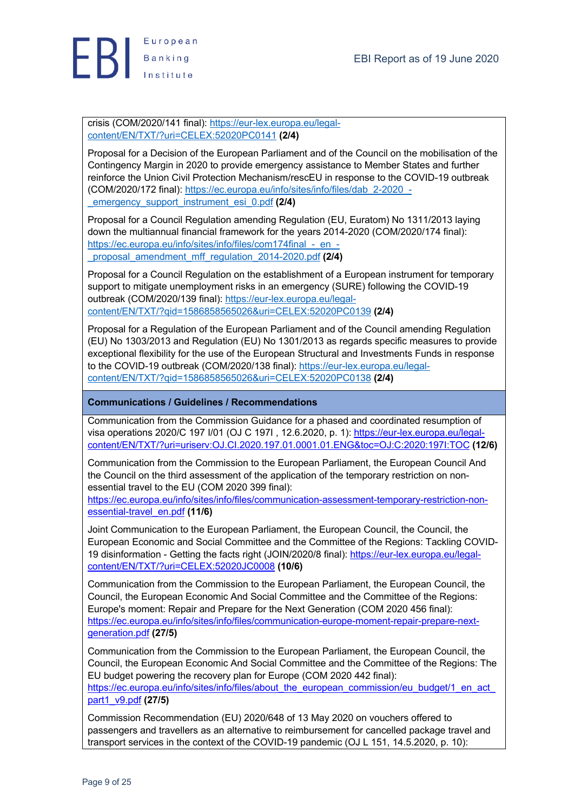

crisis (COM/2020/141 final): https://eur-lex.europa.eu/legalcontent/EN/TXT/?uri=CELEX:52020PC0141 **(2/4)**

Proposal for a Decision of the European Parliament and of the Council on the mobilisation of the Contingency Margin in 2020 to provide emergency assistance to Member States and further reinforce the Union Civil Protection Mechanism/rescEU in response to the COVID-19 outbreak (COM/2020/172 final): https://ec.europa.eu/info/sites/info/files/dab\_2-2020\_- \_emergency\_support\_instrument\_esi\_0.pdf **(2/4)**

Proposal for a Council Regulation amending Regulation (EU, Euratom) No 1311/2013 laying down the multiannual financial framework for the years 2014-2020 (COM/2020/174 final): https://ec.europa.eu/info/sites/info/files/com174final - en -\_proposal\_amendment\_mff\_regulation\_2014-2020.pdf **(2/4)**

Proposal for a Council Regulation on the establishment of a European instrument for temporary support to mitigate unemployment risks in an emergency (SURE) following the COVID-19 outbreak (COM/2020/139 final): https://eur-lex.europa.eu/legalcontent/EN/TXT/?qid=1586858565026&uri=CELEX:52020PC0139 **(2/4)**

Proposal for a Regulation of the European Parliament and of the Council amending Regulation (EU) No 1303/2013 and Regulation (EU) No 1301/2013 as regards specific measures to provide exceptional flexibility for the use of the European Structural and Investments Funds in response to the COVID-19 outbreak (COM/2020/138 final): https://eur-lex.europa.eu/legalcontent/EN/TXT/?qid=1586858565026&uri=CELEX:52020PC0138 **(2/4)**

# **Communications / Guidelines / Recommendations**

Communication from the Commission Guidance for a phased and coordinated resumption of visa operations 2020/C 197 I/01 (OJ C 197I , 12.6.2020, p. 1): https://eur-lex.europa.eu/legalcontent/EN/TXT/?uri=uriserv:OJ.CI.2020.197.01.0001.01.ENG&toc=OJ:C:2020:197I:TOC **(12/6)**

Communication from the Commission to the European Parliament, the European Council And the Council on the third assessment of the application of the temporary restriction on nonessential travel to the EU (COM 2020 399 final):

https://ec.europa.eu/info/sites/info/files/communication-assessment-temporary-restriction-nonessential-travel\_en.pdf **(11/6)**

Joint Communication to the European Parliament, the European Council, the Council, the European Economic and Social Committee and the Committee of the Regions: Tackling COVID-19 disinformation - Getting the facts right (JOIN/2020/8 final): https://eur-lex.europa.eu/legalcontent/EN/TXT/?uri=CELEX:52020JC0008 **(10/6)**

Communication from the Commission to the European Parliament, the European Council, the Council, the European Economic And Social Committee and the Committee of the Regions: Europe's moment: Repair and Prepare for the Next Generation (COM 2020 456 final): https://ec.europa.eu/info/sites/info/files/communication-europe-moment-repair-prepare-nextgeneration.pdf **(27/5)**

Communication from the Commission to the European Parliament, the European Council, the Council, the European Economic And Social Committee and the Committee of the Regions: The EU budget powering the recovery plan for Europe (COM 2020 442 final): https://ec.europa.eu/info/sites/info/files/about\_the\_european\_commission/eu\_budget/1\_en\_act\_ part1\_v9.pdf **(27/5)**

Commission Recommendation (EU) 2020/648 of 13 May 2020 on vouchers offered to passengers and travellers as an alternative to reimbursement for cancelled package travel and transport services in the context of the COVID-19 pandemic (OJ L 151, 14.5.2020, p. 10):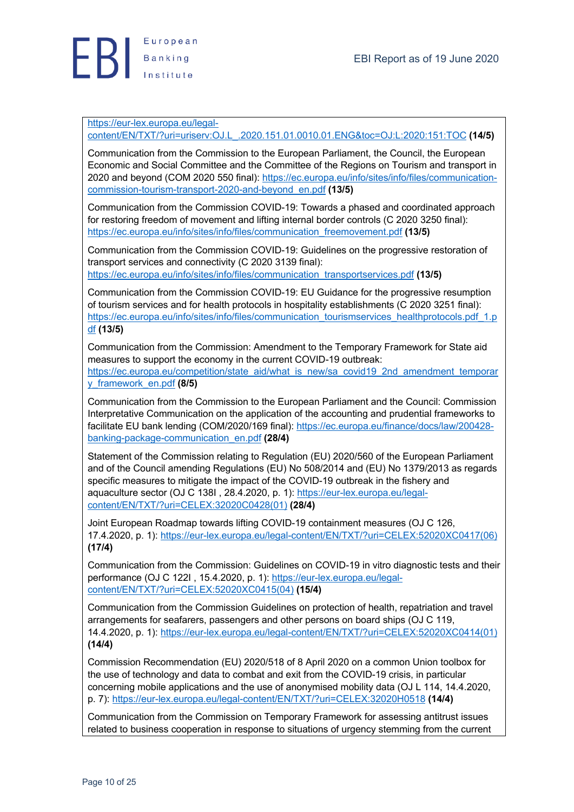

## https://eur-lex.europa.eu/legal-

content/EN/TXT/?uri=uriserv:OJ.L\_.2020.151.01.0010.01.ENG&toc=OJ:L:2020:151:TOC **(14/5)**

Communication from the Commission to the European Parliament, the Council, the European Economic and Social Committee and the Committee of the Regions on Tourism and transport in 2020 and beyond (COM 2020 550 final): https://ec.europa.eu/info/sites/info/files/communicationcommission-tourism-transport-2020-and-beyond\_en.pdf **(13/5)**

Communication from the Commission COVID-19: Towards a phased and coordinated approach for restoring freedom of movement and lifting internal border controls (C 2020 3250 final): https://ec.europa.eu/info/sites/info/files/communication\_freemovement.pdf **(13/5)**

Communication from the Commission COVID-19: Guidelines on the progressive restoration of transport services and connectivity (C 2020 3139 final): https://ec.europa.eu/info/sites/info/files/communication\_transportservices.pdf **(13/5)**

Communication from the Commission COVID-19: EU Guidance for the progressive resumption of tourism services and for health protocols in hospitality establishments (C 2020 3251 final): https://ec.europa.eu/info/sites/info/files/communication\_tourismservices\_healthprotocols.pdf\_1.p df **(13/5)**

Communication from the Commission: Amendment to the Temporary Framework for State aid measures to support the economy in the current COVID-19 outbreak: https://ec.europa.eu/competition/state\_aid/what\_is\_new/sa\_covid19\_2nd\_amendment\_temporar y\_framework\_en.pdf **(8/5)**

Communication from the Commission to the European Parliament and the Council: Commission Interpretative Communication on the application of the accounting and prudential frameworks to facilitate EU bank lending (COM/2020/169 final): https://ec.europa.eu/finance/docs/law/200428 banking-package-communication\_en.pdf **(28/4)**

Statement of the Commission relating to Regulation (EU) 2020/560 of the European Parliament and of the Council amending Regulations (EU) No 508/2014 and (EU) No 1379/2013 as regards specific measures to mitigate the impact of the COVID-19 outbreak in the fishery and aquaculture sector (OJ C 138I, 28.4.2020, p. 1): https://eur-lex.europa.eu/legalcontent/EN/TXT/?uri=CELEX:32020C0428(01) **(28/4)**

Joint European Roadmap towards lifting COVID-19 containment measures (OJ C 126, 17.4.2020, p. 1): https://eur-lex.europa.eu/legal-content/EN/TXT/?uri=CELEX:52020XC0417(06) **(17/4)**

Communication from the Commission: Guidelines on COVID-19 in vitro diagnostic tests and their performance (OJ C 122I , 15.4.2020, p. 1): https://eur-lex.europa.eu/legalcontent/EN/TXT/?uri=CELEX:52020XC0415(04) **(15/4)**

Communication from the Commission Guidelines on protection of health, repatriation and travel arrangements for seafarers, passengers and other persons on board ships (OJ C 119, 14.4.2020, p. 1): https://eur-lex.europa.eu/legal-content/EN/TXT/?uri=CELEX:52020XC0414(01) **(14/4)**

Commission Recommendation (EU) 2020/518 of 8 April 2020 on a common Union toolbox for the use of technology and data to combat and exit from the COVID-19 crisis, in particular concerning mobile applications and the use of anonymised mobility data (OJ L 114, 14.4.2020, p. 7): https://eur-lex.europa.eu/legal-content/EN/TXT/?uri=CELEX:32020H0518 **(14/4)**

Communication from the Commission on Temporary Framework for assessing antitrust issues related to business cooperation in response to situations of urgency stemming from the current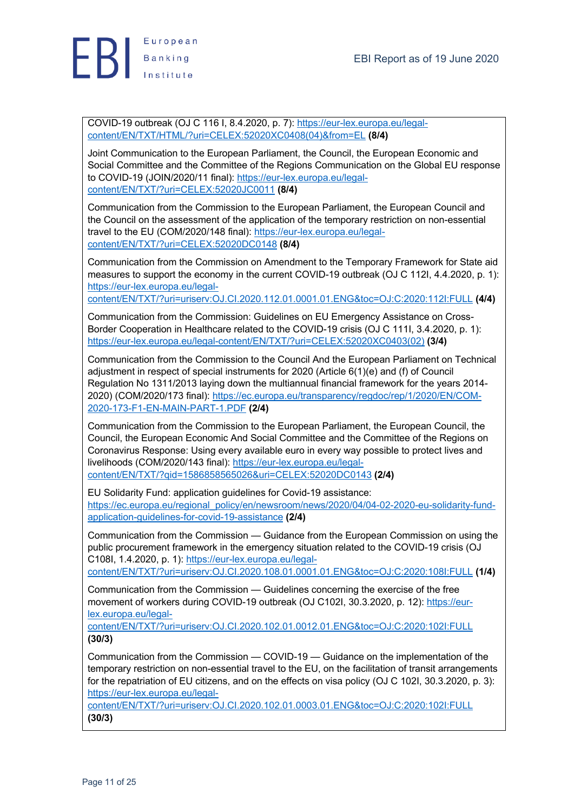

COVID-19 outbreak (OJ C 116 I, 8.4.2020, p. 7): https://eur-lex.europa.eu/legalcontent/EN/TXT/HTML/?uri=CELEX:52020XC0408(04)&from=EL **(8/4)**

Joint Communication to the European Parliament, the Council, the European Economic and Social Committee and the Committee of the Regions Communication on the Global EU response to COVID-19 (JOIN/2020/11 final): https://eur-lex.europa.eu/legalcontent/EN/TXT/?uri=CELEX:52020JC0011 **(8/4)**

Communication from the Commission to the European Parliament, the European Council and the Council on the assessment of the application of the temporary restriction on non-essential travel to the EU (COM/2020/148 final): https://eur-lex.europa.eu/legalcontent/EN/TXT/?uri=CELEX:52020DC0148 **(8/4)**

Communication from the Commission on Amendment to the Temporary Framework for State aid measures to support the economy in the current COVID-19 outbreak (OJ C 112I, 4.4.2020, p. 1): https://eur-lex.europa.eu/legal-

content/EN/TXT/?uri=uriserv:OJ.CI.2020.112.01.0001.01.ENG&toc=OJ:C:2020:112I:FULL **(4/4)**

Communication from the Commission: Guidelines on EU Emergency Assistance on Cross-Border Cooperation in Healthcare related to the COVID-19 crisis (OJ C 111I, 3.4.2020, p. 1): https://eur-lex.europa.eu/legal-content/EN/TXT/?uri=CELEX:52020XC0403(02) **(3/4)**

Communication from the Commission to the Council And the European Parliament on Technical adjustment in respect of special instruments for 2020 (Article 6(1)(e) and (f) of Council Regulation No 1311/2013 laying down the multiannual financial framework for the years 2014- 2020) (COM/2020/173 final): https://ec.europa.eu/transparency/regdoc/rep/1/2020/EN/COM-2020-173-F1-EN-MAIN-PART-1.PDF **(2/4)**

Communication from the Commission to the European Parliament, the European Council, the Council, the European Economic And Social Committee and the Committee of the Regions on Coronavirus Response: Using every available euro in every way possible to protect lives and livelihoods (COM/2020/143 final): https://eur-lex.europa.eu/legalcontent/EN/TXT/?qid=1586858565026&uri=CELEX:52020DC0143 **(2/4)**

EU Solidarity Fund: application guidelines for Covid-19 assistance: https://ec.europa.eu/regional\_policy/en/newsroom/news/2020/04/04-02-2020-eu-solidarity-fundapplication-guidelines-for-covid-19-assistance **(2/4)**

Communication from the Commission — Guidance from the European Commission on using the public procurement framework in the emergency situation related to the COVID-19 crisis (OJ C108I, 1.4.2020, p. 1): https://eur-lex.europa.eu/legal-

content/EN/TXT/?uri=uriserv:OJ.CI.2020.108.01.0001.01.ENG&toc=OJ:C:2020:108I:FULL **(1/4)**

Communication from the Commission — Guidelines concerning the exercise of the free movement of workers during COVID-19 outbreak (OJ C102I, 30.3.2020, p. 12): https://eurlex.europa.eu/legal-

content/EN/TXT/?uri=uriserv:OJ.CI.2020.102.01.0012.01.ENG&toc=OJ:C:2020:102I:FULL **(30/3)**

Communication from the Commission — COVID-19 — Guidance on the implementation of the temporary restriction on non-essential travel to the EU, on the facilitation of transit arrangements for the repatriation of EU citizens, and on the effects on visa policy (OJ C 102I, 30.3.2020, p. 3): https://eur-lex.europa.eu/legal-

content/EN/TXT/?uri=uriserv:OJ.CI.2020.102.01.0003.01.ENG&toc=OJ:C:2020:102I:FULL **(30/3)**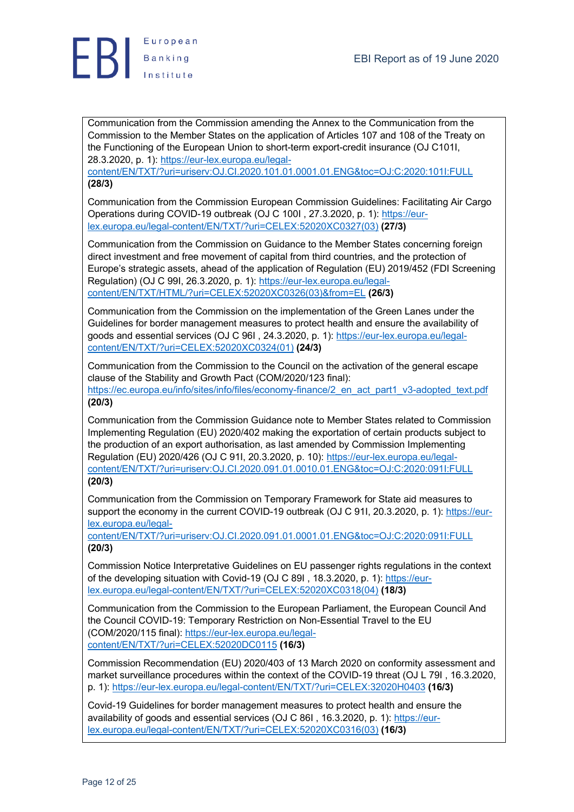

Communication from the Commission amending the Annex to the Communication from the Commission to the Member States on the application of Articles 107 and 108 of the Treaty on the Functioning of the European Union to short-term export-credit insurance (OJ C101I, 28.3.2020, p. 1): https://eur-lex.europa.eu/legal-

content/EN/TXT/?uri=uriserv:OJ.CI.2020.101.01.0001.01.ENG&toc=OJ:C:2020:101I:FULL **(28/3)**

Communication from the Commission European Commission Guidelines: Facilitating Air Cargo Operations during COVID-19 outbreak (OJ C 100I , 27.3.2020, p. 1): https://eurlex.europa.eu/legal-content/EN/TXT/?uri=CELEX:52020XC0327(03) **(27/3)**

Communication from the Commission on Guidance to the Member States concerning foreign direct investment and free movement of capital from third countries, and the protection of Europe's strategic assets, ahead of the application of Regulation (EU) 2019/452 (FDI Screening Regulation) (OJ C 99I, 26.3.2020, p. 1): https://eur-lex.europa.eu/legalcontent/EN/TXT/HTML/?uri=CELEX:52020XC0326(03)&from=EL **(26/3)**

Communication from the Commission on the implementation of the Green Lanes under the Guidelines for border management measures to protect health and ensure the availability of goods and essential services (OJ C 96I , 24.3.2020, p. 1): https://eur-lex.europa.eu/legalcontent/EN/TXT/?uri=CELEX:52020XC0324(01) **(24/3)**

Communication from the Commission to the Council on the activation of the general escape clause of the Stability and Growth Pact (COM/2020/123 final): https://ec.europa.eu/info/sites/info/files/economy-finance/2\_en\_act\_part1\_v3-adopted\_text.pdf **(20/3)**

Communication from the Commission Guidance note to Member States related to Commission Implementing Regulation (EU) 2020/402 making the exportation of certain products subject to the production of an export authorisation, as last amended by Commission Implementing Regulation (EU) 2020/426 (OJ C 91I, 20.3.2020, p. 10): https://eur-lex.europa.eu/legalcontent/EN/TXT/?uri=uriserv:OJ.CI.2020.091.01.0010.01.ENG&toc=OJ:C:2020:091I:FULL **(20/3)**

Communication from the Commission on Temporary Framework for State aid measures to support the economy in the current COVID-19 outbreak (OJ C 91I, 20.3.2020, p. 1): https://eurlex.europa.eu/legal-

content/EN/TXT/?uri=uriserv:OJ.CI.2020.091.01.0001.01.ENG&toc=OJ:C:2020:091I:FULL **(20/3)**

Commission Notice Interpretative Guidelines on EU passenger rights regulations in the context of the developing situation with Covid-19 (OJ C 89I , 18.3.2020, p. 1): https://eurlex.europa.eu/legal-content/EN/TXT/?uri=CELEX:52020XC0318(04) **(18/3)**

Communication from the Commission to the European Parliament, the European Council And the Council COVID-19: Temporary Restriction on Non-Essential Travel to the EU (COM/2020/115 final): https://eur-lex.europa.eu/legalcontent/EN/TXT/?uri=CELEX:52020DC0115 **(16/3)**

Commission Recommendation (EU) 2020/403 of 13 March 2020 on conformity assessment and market surveillance procedures within the context of the COVID-19 threat (OJ L 79I , 16.3.2020, p. 1): https://eur-lex.europa.eu/legal-content/EN/TXT/?uri=CELEX:32020H0403 **(16/3)**

Covid-19 Guidelines for border management measures to protect health and ensure the availability of goods and essential services (OJ C 86I , 16.3.2020, p. 1): https://eurlex.europa.eu/legal-content/EN/TXT/?uri=CELEX:52020XC0316(03) **(16/3)**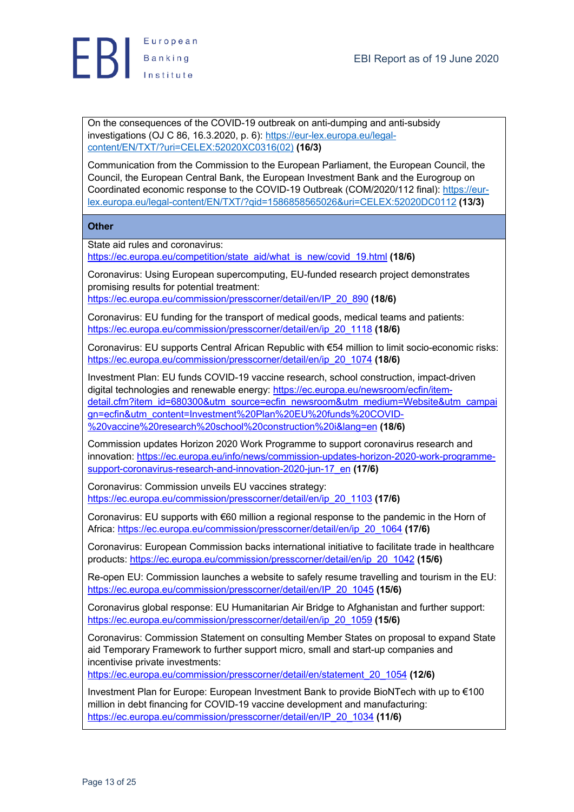

On the consequences of the COVID-19 outbreak on anti-dumping and anti-subsidy investigations (OJ C 86, 16.3.2020, p. 6): https://eur-lex.europa.eu/legalcontent/EN/TXT/?uri=CELEX:52020XC0316(02) **(16/3)**

Communication from the Commission to the European Parliament, the European Council, the Council, the European Central Bank, the European Investment Bank and the Eurogroup on Coordinated economic response to the COVID-19 Outbreak (COM/2020/112 final): https://eurlex.europa.eu/legal-content/EN/TXT/?qid=1586858565026&uri=CELEX:52020DC0112 **(13/3)**

**Other**

State aid rules and coronavirus:

https://ec.europa.eu/competition/state\_aid/what\_is\_new/covid\_19.html **(18/6)**

Coronavirus: Using European supercomputing, EU-funded research project demonstrates promising results for potential treatment:

https://ec.europa.eu/commission/presscorner/detail/en/IP\_20\_890 **(18/6)**

Coronavirus: EU funding for the transport of medical goods, medical teams and patients: https://ec.europa.eu/commission/presscorner/detail/en/ip\_20\_1118 **(18/6)**

Coronavirus: EU supports Central African Republic with €54 million to limit socio-economic risks: https://ec.europa.eu/commission/presscorner/detail/en/ip\_20\_1074 **(18/6)**

Investment Plan: EU funds COVID-19 vaccine research, school construction, impact-driven digital technologies and renewable energy: https://ec.europa.eu/newsroom/ecfin/itemdetail.cfm?item\_id=680300&utm\_source=ecfin\_newsroom&utm\_medium=Website&utm\_campai gn=ecfin&utm\_content=Investment%20Plan%20EU%20funds%20COVID- %20vaccine%20research%20school%20construction%20i&lang=en **(18/6)**

Commission updates Horizon 2020 Work Programme to support coronavirus research and innovation: https://ec.europa.eu/info/news/commission-updates-horizon-2020-work-programmesupport-coronavirus-research-and-innovation-2020-jun-17\_en **(17/6)**

Coronavirus: Commission unveils EU vaccines strategy: https://ec.europa.eu/commission/presscorner/detail/en/ip\_20\_1103 **(17/6)**

Coronavirus: EU supports with €60 million a regional response to the pandemic in the Horn of Africa: https://ec.europa.eu/commission/presscorner/detail/en/ip\_20\_1064 **(17/6)**

Coronavirus: European Commission backs international initiative to facilitate trade in healthcare products: https://ec.europa.eu/commission/presscorner/detail/en/ip\_20\_1042 **(15/6)**

Re-open EU: Commission launches a website to safely resume travelling and tourism in the EU: https://ec.europa.eu/commission/presscorner/detail/en/IP\_20\_1045 **(15/6)**

Coronavirus global response: EU Humanitarian Air Bridge to Afghanistan and further support: https://ec.europa.eu/commission/presscorner/detail/en/ip\_20\_1059 **(15/6)**

Coronavirus: Commission Statement on consulting Member States on proposal to expand State aid Temporary Framework to further support micro, small and start-up companies and incentivise private investments:

https://ec.europa.eu/commission/presscorner/detail/en/statement\_20\_1054 **(12/6)**

Investment Plan for Europe: European Investment Bank to provide BioNTech with up to €100 million in debt financing for COVID-19 vaccine development and manufacturing: https://ec.europa.eu/commission/presscorner/detail/en/IP\_20\_1034 **(11/6)**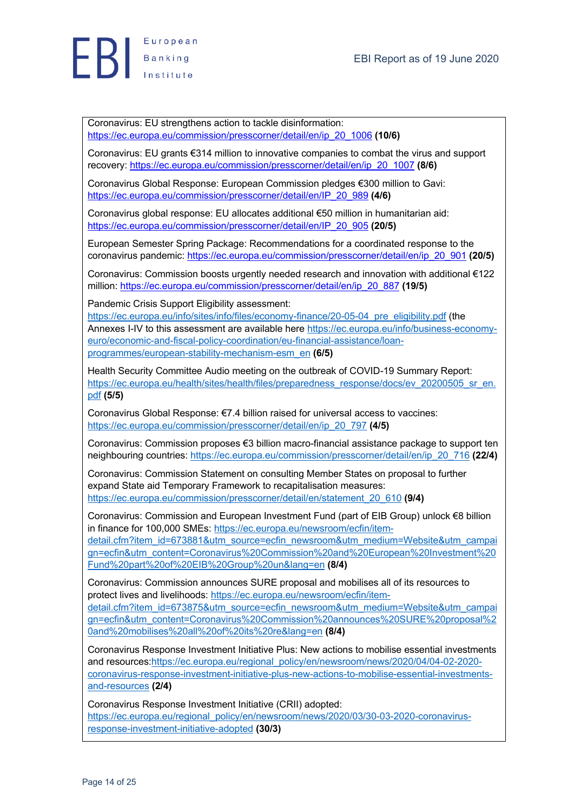

Coronavirus: EU strengthens action to tackle disinformation: https://ec.europa.eu/commission/presscorner/detail/en/ip\_20\_1006 **(10/6)**

Coronavirus: EU grants €314 million to innovative companies to combat the virus and support recovery: https://ec.europa.eu/commission/presscorner/detail/en/ip\_20\_1007 **(8/6)**

Coronavirus Global Response: European Commission pledges €300 million to Gavi: https://ec.europa.eu/commission/presscorner/detail/en/IP\_20\_989 **(4/6)**

Coronavirus global response: EU allocates additional €50 million in humanitarian aid: https://ec.europa.eu/commission/presscorner/detail/en/IP\_20\_905 **(20/5)**

European Semester Spring Package: Recommendations for a coordinated response to the coronavirus pandemic: https://ec.europa.eu/commission/presscorner/detail/en/ip\_20\_901 **(20/5)**

Coronavirus: Commission boosts urgently needed research and innovation with additional €122 million: https://ec.europa.eu/commission/presscorner/detail/en/ip\_20\_887 **(19/5)**

Pandemic Crisis Support Eligibility assessment:

https://ec.europa.eu/info/sites/info/files/economy-finance/20-05-04\_pre\_eligibility.pdf (the Annexes I-IV to this assessment are available here https://ec.europa.eu/info/business-economyeuro/economic-and-fiscal-policy-coordination/eu-financial-assistance/loanprogrammes/european-stability-mechanism-esm\_en **(6/5)**

Health Security Committee Audio meeting on the outbreak of COVID-19 Summary Report: https://ec.europa.eu/health/sites/health/files/preparedness\_response/docs/ev\_20200505\_sr\_en. pdf **(5/5)**

Coronavirus Global Response: €7.4 billion raised for universal access to vaccines: https://ec.europa.eu/commission/presscorner/detail/en/ip\_20\_797 **(4/5)**

Coronavirus: Commission proposes €3 billion macro-financial assistance package to support ten neighbouring countries: https://ec.europa.eu/commission/presscorner/detail/en/ip\_20\_716 **(22/4)**

Coronavirus: Commission Statement on consulting Member States on proposal to further expand State aid Temporary Framework to recapitalisation measures: https://ec.europa.eu/commission/presscorner/detail/en/statement\_20\_610 **(9/4)**

Coronavirus: Commission and European Investment Fund (part of EIB Group) unlock €8 billion in finance for 100,000 SMEs: https://ec.europa.eu/newsroom/ecfin/itemdetail.cfm?item\_id=673881&utm\_source=ecfin\_newsroom&utm\_medium=Website&utm\_campai gn=ecfin&utm\_content=Coronavirus%20Commission%20and%20European%20Investment%20 Fund%20part%20of%20EIB%20Group%20un&lang=en **(8/4)**

Coronavirus: Commission announces SURE proposal and mobilises all of its resources to protect lives and livelihoods: https://ec.europa.eu/newsroom/ecfin/itemdetail.cfm?item\_id=673875&utm\_source=ecfin\_newsroom&utm\_medium=Website&utm\_campai gn=ecfin&utm\_content=Coronavirus%20Commission%20announces%20SURE%20proposal%2 0and%20mobilises%20all%20of%20its%20re&lang=en **(8/4)**

Coronavirus Response Investment Initiative Plus: New actions to mobilise essential investments and resources:https://ec.europa.eu/regional\_policy/en/newsroom/news/2020/04/04-02-2020coronavirus-response-investment-initiative-plus-new-actions-to-mobilise-essential-investmentsand-resources **(2/4)**

Coronavirus Response Investment Initiative (CRII) adopted: https://ec.europa.eu/regional\_policy/en/newsroom/news/2020/03/30-03-2020-coronavirusresponse-investment-initiative-adopted **(30/3)**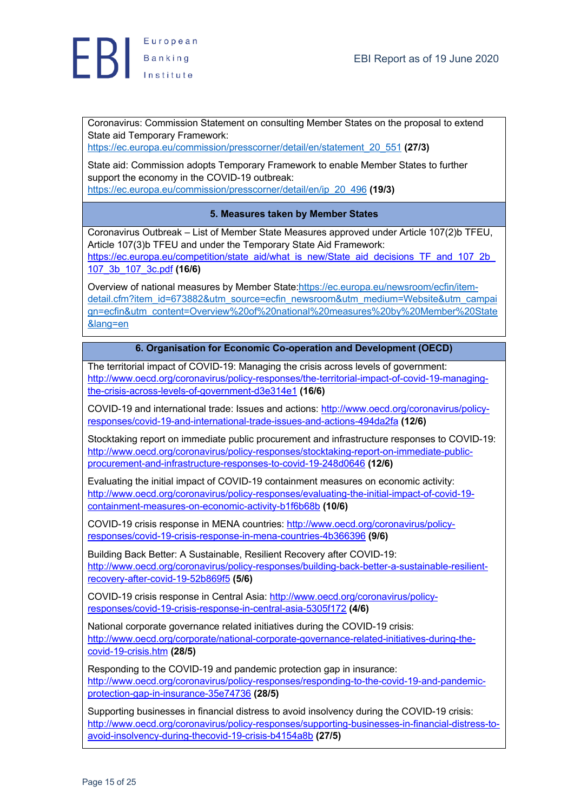

Coronavirus: Commission Statement on consulting Member States on the proposal to extend State aid Temporary Framework:

https://ec.europa.eu/commission/presscorner/detail/en/statement\_20\_551 **(27/3)**

State aid: Commission adopts Temporary Framework to enable Member States to further support the economy in the COVID-19 outbreak: https://ec.europa.eu/commission/presscorner/detail/en/ip\_20\_496 **(19/3)**

# **5. Measures taken by Member States**

Coronavirus Outbreak – List of Member State Measures approved under Article 107(2)b TFEU, Article 107(3)b TFEU and under the Temporary State Aid Framework: https://ec.europa.eu/competition/state\_aid/what\_is\_new/State\_aid\_decisions\_TF\_and\_107\_2b\_ 107\_3b\_107\_3c.pdf **(16/6)**

Overview of national measures by Member State:https://ec.europa.eu/newsroom/ecfin/itemdetail.cfm?item\_id=673882&utm\_source=ecfin\_newsroom&utm\_medium=Website&utm\_campai gn=ecfin&utm\_content=Overview%20of%20national%20measures%20by%20Member%20State &lang=en

# **6. Organisation for Economic Co-operation and Development (OECD)**

The territorial impact of COVID-19: Managing the crisis across levels of government: http://www.oecd.org/coronavirus/policy-responses/the-territorial-impact-of-covid-19-managingthe-crisis-across-levels-of-government-d3e314e1 **(16/6)**

COVID-19 and international trade: Issues and actions: http://www.oecd.org/coronavirus/policyresponses/covid-19-and-international-trade-issues-and-actions-494da2fa **(12/6)**

Stocktaking report on immediate public procurement and infrastructure responses to COVID-19: http://www.oecd.org/coronavirus/policy-responses/stocktaking-report-on-immediate-publicprocurement-and-infrastructure-responses-to-covid-19-248d0646 **(12/6)**

Evaluating the initial impact of COVID-19 containment measures on economic activity: http://www.oecd.org/coronavirus/policy-responses/evaluating-the-initial-impact-of-covid-19 containment-measures-on-economic-activity-b1f6b68b **(10/6)**

COVID-19 crisis response in MENA countries: http://www.oecd.org/coronavirus/policyresponses/covid-19-crisis-response-in-mena-countries-4b366396 **(9/6)**

Building Back Better: A Sustainable, Resilient Recovery after COVID-19: http://www.oecd.org/coronavirus/policy-responses/building-back-better-a-sustainable-resilientrecovery-after-covid-19-52b869f5 **(5/6)**

COVID-19 crisis response in Central Asia: http://www.oecd.org/coronavirus/policyresponses/covid-19-crisis-response-in-central-asia-5305f172 **(4/6)**

National corporate governance related initiatives during the COVID-19 crisis: http://www.oecd.org/corporate/national-corporate-governance-related-initiatives-during-thecovid-19-crisis.htm **(28/5)**

Responding to the COVID-19 and pandemic protection gap in insurance: http://www.oecd.org/coronavirus/policy-responses/responding-to-the-covid-19-and-pandemicprotection-gap-in-insurance-35e74736 **(28/5)**

Supporting businesses in financial distress to avoid insolvency during the COVID-19 crisis: http://www.oecd.org/coronavirus/policy-responses/supporting-businesses-in-financial-distress-toavoid-insolvency-during-thecovid-19-crisis-b4154a8b **(27/5)**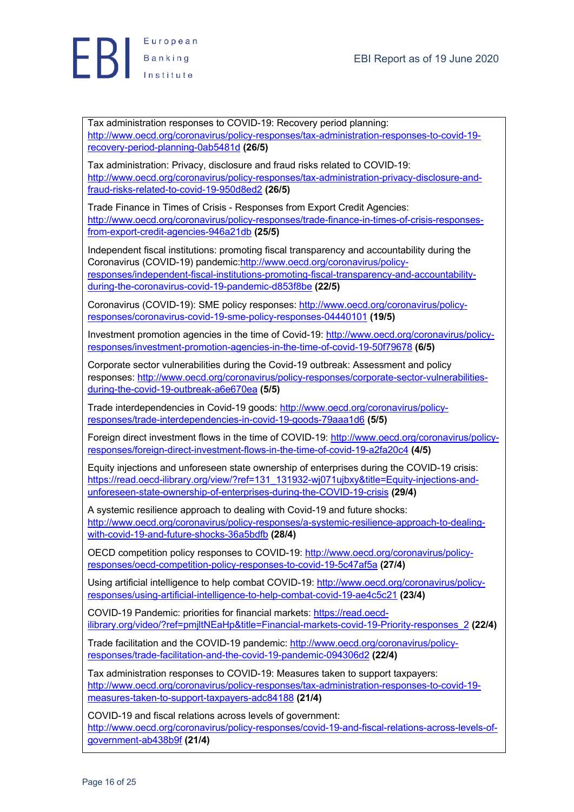

Tax administration responses to COVID-19: Recovery period planning: http://www.oecd.org/coronavirus/policy-responses/tax-administration-responses-to-covid-19 recovery-period-planning-0ab5481d **(26/5)**

Tax administration: Privacy, disclosure and fraud risks related to COVID-19: http://www.oecd.org/coronavirus/policy-responses/tax-administration-privacy-disclosure-andfraud-risks-related-to-covid-19-950d8ed2 **(26/5)**

Trade Finance in Times of Crisis - Responses from Export Credit Agencies: http://www.oecd.org/coronavirus/policy-responses/trade-finance-in-times-of-crisis-responsesfrom-export-credit-agencies-946a21db **(25/5)**

Independent fiscal institutions: promoting fiscal transparency and accountability during the Coronavirus (COVID-19) pandemic:http://www.oecd.org/coronavirus/policyresponses/independent-fiscal-institutions-promoting-fiscal-transparency-and-accountabilityduring-the-coronavirus-covid-19-pandemic-d853f8be **(22/5)**

Coronavirus (COVID-19): SME policy responses: http://www.oecd.org/coronavirus/policyresponses/coronavirus-covid-19-sme-policy-responses-04440101 **(19/5)**

Investment promotion agencies in the time of Covid-19: http://www.oecd.org/coronavirus/policyresponses/investment-promotion-agencies-in-the-time-of-covid-19-50f79678 **(6/5)**

Corporate sector vulnerabilities during the Covid-19 outbreak: Assessment and policy responses: http://www.oecd.org/coronavirus/policy-responses/corporate-sector-vulnerabilitiesduring-the-covid-19-outbreak-a6e670ea **(5/5)**

Trade interdependencies in Covid-19 goods: http://www.oecd.org/coronavirus/policyresponses/trade-interdependencies-in-covid-19-goods-79aaa1d6 **(5/5)**

Foreign direct investment flows in the time of COVID-19: http://www.oecd.org/coronavirus/policyresponses/foreign-direct-investment-flows-in-the-time-of-covid-19-a2fa20c4 **(4/5)**

Equity injections and unforeseen state ownership of enterprises during the COVID-19 crisis: https://read.oecd-ilibrary.org/view/?ref=131\_131932-wj071ujbxy&title=Equity-injections-andunforeseen-state-ownership-of-enterprises-during-the-COVID-19-crisis **(29/4)**

A systemic resilience approach to dealing with Covid-19 and future shocks: http://www.oecd.org/coronavirus/policy-responses/a-systemic-resilience-approach-to-dealingwith-covid-19-and-future-shocks-36a5bdfb **(28/4)**

OECD competition policy responses to COVID-19: http://www.oecd.org/coronavirus/policyresponses/oecd-competition-policy-responses-to-covid-19-5c47af5a **(27/4)**

Using artificial intelligence to help combat COVID-19: http://www.oecd.org/coronavirus/policyresponses/using-artificial-intelligence-to-help-combat-covid-19-ae4c5c21 **(23/4)**

COVID-19 Pandemic: priorities for financial markets: https://read.oecdilibrary.org/video/?ref=pmjltNEaHp&title=Financial-markets-covid-19-Priority-responses\_2 **(22/4)**

Trade facilitation and the COVID-19 pandemic: http://www.oecd.org/coronavirus/policyresponses/trade-facilitation-and-the-covid-19-pandemic-094306d2 **(22/4)**

Tax administration responses to COVID-19: Measures taken to support taxpayers: http://www.oecd.org/coronavirus/policy-responses/tax-administration-responses-to-covid-19 measures-taken-to-support-taxpayers-adc84188 **(21/4)**

COVID-19 and fiscal relations across levels of government: http://www.oecd.org/coronavirus/policy-responses/covid-19-and-fiscal-relations-across-levels-ofgovernment-ab438b9f **(21/4)**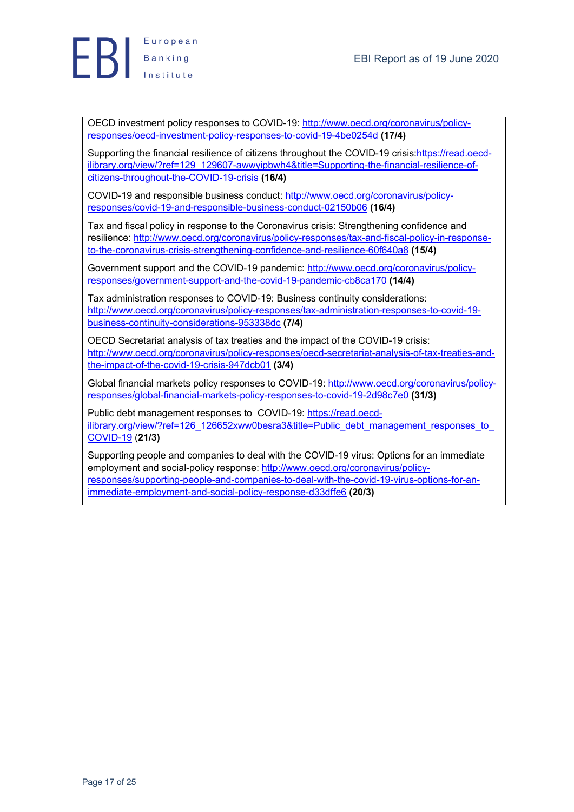

OECD investment policy responses to COVID-19: http://www.oecd.org/coronavirus/policyresponses/oecd-investment-policy-responses-to-covid-19-4be0254d **(17/4)**

Supporting the financial resilience of citizens throughout the COVID-19 crisis: https://read.oecdilibrary.org/view/?ref=129\_129607-awwyipbwh4&title=Supporting-the-financial-resilience-ofcitizens-throughout-the-COVID-19-crisis **(16/4)**

COVID-19 and responsible business conduct: http://www.oecd.org/coronavirus/policyresponses/covid-19-and-responsible-business-conduct-02150b06 **(16/4)**

Tax and fiscal policy in response to the Coronavirus crisis: Strengthening confidence and resilience: http://www.oecd.org/coronavirus/policy-responses/tax-and-fiscal-policy-in-responseto-the-coronavirus-crisis-strengthening-confidence-and-resilience-60f640a8 **(15/4)**

Government support and the COVID-19 pandemic: http://www.oecd.org/coronavirus/policyresponses/government-support-and-the-covid-19-pandemic-cb8ca170 **(14/4)**

Tax administration responses to COVID-19: Business continuity considerations: http://www.oecd.org/coronavirus/policy-responses/tax-administration-responses-to-covid-19 business-continuity-considerations-953338dc **(7/4)**

OECD Secretariat analysis of tax treaties and the impact of the COVID-19 crisis: http://www.oecd.org/coronavirus/policy-responses/oecd-secretariat-analysis-of-tax-treaties-andthe-impact-of-the-covid-19-crisis-947dcb01 **(3/4)**

Global financial markets policy responses to COVID-19: http://www.oecd.org/coronavirus/policyresponses/global-financial-markets-policy-responses-to-covid-19-2d98c7e0 **(31/3)**

Public debt management responses to COVID-19: https://read.oecdilibrary.org/view/?ref=126\_126652xww0besra3&title=Public\_debt\_management\_responses\_to COVID-19 (**21/3)**

Supporting people and companies to deal with the COVID-19 virus: Options for an immediate employment and social-policy response: http://www.oecd.org/coronavirus/policyresponses/supporting-people-and-companies-to-deal-with-the-covid-19-virus-options-for-animmediate-employment-and-social-policy-response-d33dffe6 **(20/3)**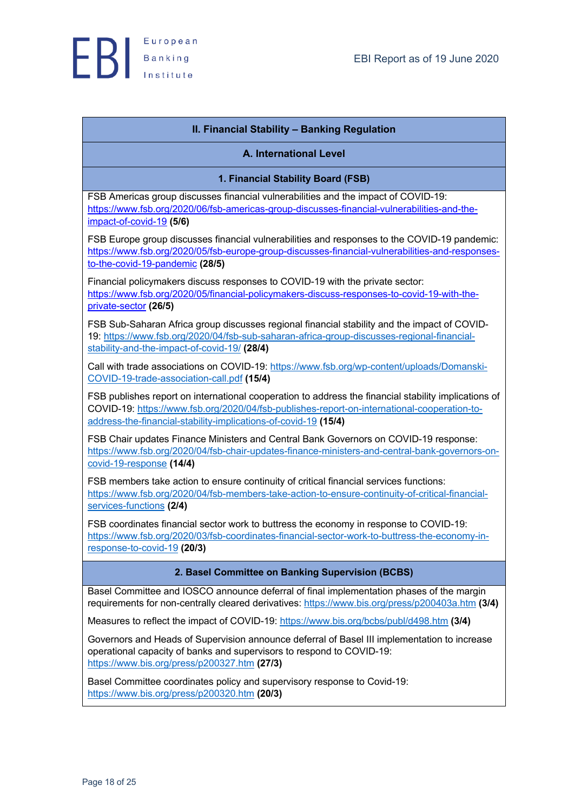

# **II. Financial Stability – Banking Regulation**

## **A. International Level**

**1. Financial Stability Board (FSB)**

FSB Americas group discusses financial vulnerabilities and the impact of COVID-19: https://www.fsb.org/2020/06/fsb-americas-group-discusses-financial-vulnerabilities-and-theimpact-of-covid-19 **(5/6)**

FSB Europe group discusses financial vulnerabilities and responses to the COVID-19 pandemic: https://www.fsb.org/2020/05/fsb-europe-group-discusses-financial-vulnerabilities-and-responsesto-the-covid-19-pandemic **(28/5)**

Financial policymakers discuss responses to COVID-19 with the private sector: https://www.fsb.org/2020/05/financial-policymakers-discuss-responses-to-covid-19-with-theprivate-sector **(26/5)**

FSB Sub-Saharan Africa group discusses regional financial stability and the impact of COVID-19: https://www.fsb.org/2020/04/fsb-sub-saharan-africa-group-discusses-regional-financialstability-and-the-impact-of-covid-19/ **(28/4)**

Call with trade associations on COVID-19: https://www.fsb.org/wp-content/uploads/Domanski-COVID-19-trade-association-call.pdf **(15/4)**

FSB publishes report on international cooperation to address the financial stability implications of COVID-19: https://www.fsb.org/2020/04/fsb-publishes-report-on-international-cooperation-toaddress-the-financial-stability-implications-of-covid-19 **(15/4)**

FSB Chair updates Finance Ministers and Central Bank Governors on COVID-19 response: https://www.fsb.org/2020/04/fsb-chair-updates-finance-ministers-and-central-bank-governors-oncovid-19-response **(14/4)**

FSB members take action to ensure continuity of critical financial services functions: https://www.fsb.org/2020/04/fsb-members-take-action-to-ensure-continuity-of-critical-financialservices-functions **(2/4)**

FSB coordinates financial sector work to buttress the economy in response to COVID-19: https://www.fsb.org/2020/03/fsb-coordinates-financial-sector-work-to-buttress-the-economy-inresponse-to-covid-19 **(20/3)**

# **2. Basel Committee on Banking Supervision (BCBS)**

Basel Committee and IOSCO announce deferral of final implementation phases of the margin requirements for non-centrally cleared derivatives: https://www.bis.org/press/p200403a.htm **(3/4)**

Measures to reflect the impact of COVID-19: https://www.bis.org/bcbs/publ/d498.htm **(3/4)**

Governors and Heads of Supervision announce deferral of Basel III implementation to increase operational capacity of banks and supervisors to respond to CΟVID-19: https://www.bis.org/press/p200327.htm **(27/3)**

Basel Committee coordinates policy and supervisory response to Covid-19: https://www.bis.org/press/p200320.htm **(20/3)**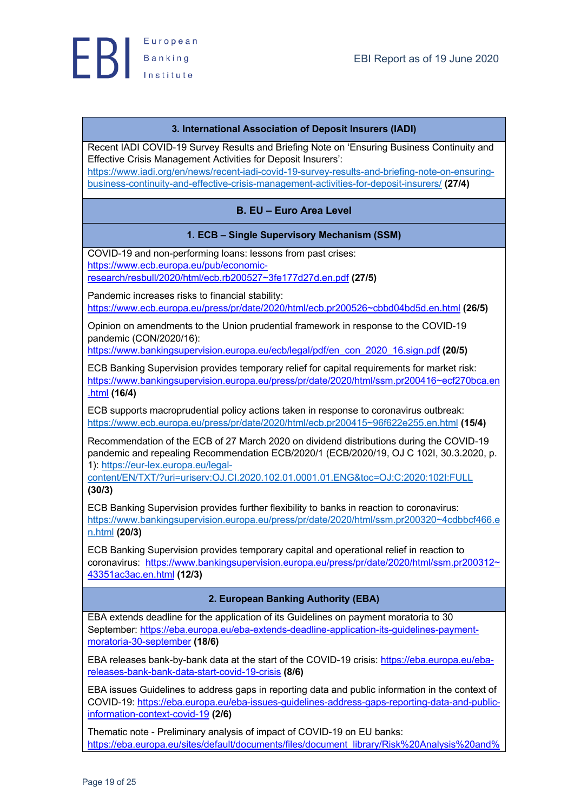

# **3. International Association of Deposit Insurers (IADI)**

Recent IADI COVID-19 Survey Results and Briefing Note on 'Ensuring Business Continuity and Effective Crisis Management Activities for Deposit Insurers': https://www.iadi.org/en/news/recent-iadi-covid-19-survey-results-and-briefing-note-on-ensuringbusiness-continuity-and-effective-crisis-management-activities-for-deposit-insurers/ **(27/4)**

# **B. EU – Euro Area Level**

# **1. ECB – Single Supervisory Mechanism (SSM)**

COVID-19 and non-performing loans: lessons from past crises: https://www.ecb.europa.eu/pub/economicresearch/resbull/2020/html/ecb.rb200527~3fe177d27d.en.pdf **(27/5)**

Pandemic increases risks to financial stability: https://www.ecb.europa.eu/press/pr/date/2020/html/ecb.pr200526~cbbd04bd5d.en.html **(26/5)**

Opinion on amendments to the Union prudential framework in response to the COVID-19 pandemic (CON/2020/16):

https://www.bankingsupervision.europa.eu/ecb/legal/pdf/en\_con\_2020\_16.sign.pdf **(20/5)**

ECB Banking Supervision provides temporary relief for capital requirements for market risk: https://www.bankingsupervision.europa.eu/press/pr/date/2020/html/ssm.pr200416~ecf270bca.en .html **(16/4)**

ECB supports macroprudential policy actions taken in response to coronavirus outbreak: https://www.ecb.europa.eu/press/pr/date/2020/html/ecb.pr200415~96f622e255.en.html **(15/4)**

Recommendation of the ECB of 27 March 2020 on dividend distributions during the COVID-19 pandemic and repealing Recommendation ECB/2020/1 (ECB/2020/19, OJ C 102I, 30.3.2020, p. 1): https://eur-lex.europa.eu/legal-

content/EN/TXT/?uri=uriserv:OJ.CI.2020.102.01.0001.01.ENG&toc=OJ:C:2020:102I:FULL **(30/3)**

ECB Banking Supervision provides further flexibility to banks in reaction to coronavirus: https://www.bankingsupervision.europa.eu/press/pr/date/2020/html/ssm.pr200320~4cdbbcf466.e n.html **(20/3)**

ECB Banking Supervision provides temporary capital and operational relief in reaction to coronavirus: https://www.bankingsupervision.europa.eu/press/pr/date/2020/html/ssm.pr200312~ 43351ac3ac.en.html **(12/3)**

# **2. European Banking Authority (EBA)**

EBA extends deadline for the application of its Guidelines on payment moratoria to 30 September: https://eba.europa.eu/eba-extends-deadline-application-its-guidelines-paymentmoratoria-30-september **(18/6)**

EBA releases bank-by-bank data at the start of the COVID-19 crisis: https://eba.europa.eu/ebareleases-bank-bank-data-start-covid-19-crisis **(8/6)**

EBA issues Guidelines to address gaps in reporting data and public information in the context of COVID-19: https://eba.europa.eu/eba-issues-guidelines-address-gaps-reporting-data-and-publicinformation-context-covid-19 **(2/6)**

Thematic note - Preliminary analysis of impact of COVID-19 on EU banks: https://eba.europa.eu/sites/default/documents/files/document\_library/Risk%20Analysis%20and%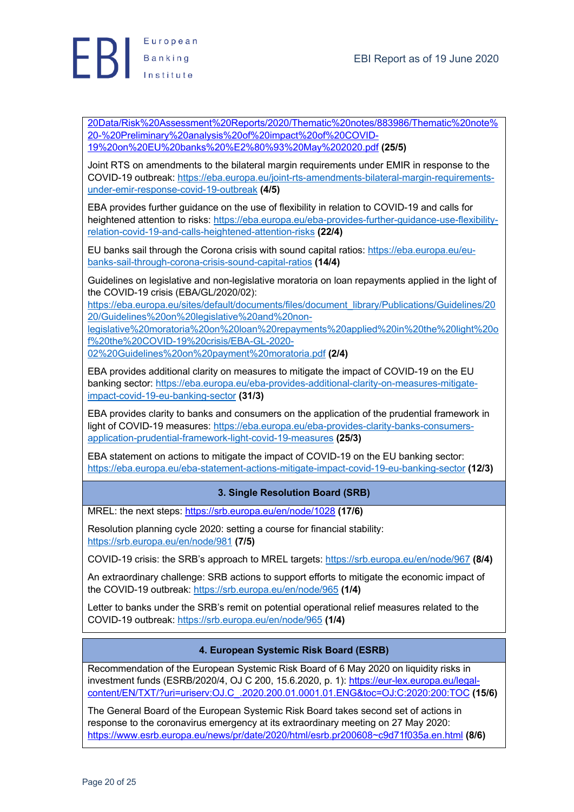

20Data/Risk%20Assessment%20Reports/2020/Thematic%20notes/883986/Thematic%20note% 20-%20Preliminary%20analysis%20of%20impact%20of%20COVID-19%20on%20EU%20banks%20%E2%80%93%20May%202020.pdf **(25/5)**

Joint RTS on amendments to the bilateral margin requirements under EMIR in response to the COVID-19 outbreak: https://eba.europa.eu/joint-rts-amendments-bilateral-margin-requirementsunder-emir-response-covid-19-outbreak **(4/5)**

EBA provides further guidance on the use of flexibility in relation to COVID-19 and calls for heightened attention to risks: https://eba.europa.eu/eba-provides-further-guidance-use-flexibilityrelation-covid-19-and-calls-heightened-attention-risks **(22/4)**

EU banks sail through the Corona crisis with sound capital ratios: https://eba.europa.eu/eubanks-sail-through-corona-crisis-sound-capital-ratios **(14/4)**

Guidelines on legislative and non-legislative moratoria on loan repayments applied in the light of the COVID-19 crisis (EBA/GL/2020/02):

https://eba.europa.eu/sites/default/documents/files/document\_library/Publications/Guidelines/20 20/Guidelines%20on%20legislative%20and%20non-

legislative%20moratoria%20on%20loan%20repayments%20applied%20in%20the%20light%20o f%20the%20COVID-19%20crisis/EBA-GL-2020-

02%20Guidelines%20on%20payment%20moratoria.pdf **(2/4)**

EBA provides additional clarity on measures to mitigate the impact of COVID-19 on the EU banking sector: https://eba.europa.eu/eba-provides-additional-clarity-on-measures-mitigateimpact-covid-19-eu-banking-sector **(31/3)**

EBA provides clarity to banks and consumers on the application of the prudential framework in light of COVID-19 measures: https://eba.europa.eu/eba-provides-clarity-banks-consumersapplication-prudential-framework-light-covid-19-measures **(25/3)**

EBA statement on actions to mitigate the impact of COVID-19 on the EU banking sector: https://eba.europa.eu/eba-statement-actions-mitigate-impact-covid-19-eu-banking-sector **(12/3)**

# **3. Single Resolution Board (SRB)**

MREL: the next steps: https://srb.europa.eu/en/node/1028 **(17/6)**

Resolution planning cycle 2020: setting a course for financial stability: https://srb.europa.eu/en/node/981 **(7/5)**

COVID-19 crisis: the SRB's approach to MREL targets: https://srb.europa.eu/en/node/967 **(8/4)**

An extraordinary challenge: SRB actions to support efforts to mitigate the economic impact of the COVID-19 outbreak: https://srb.europa.eu/en/node/965 **(1/4)**

Letter to banks under the SRB's remit on potential operational relief measures related to the COVID-19 outbreak: https://srb.europa.eu/en/node/965 **(1/4)**

# **4. European Systemic Risk Board (ESRB)**

Recommendation of the European Systemic Risk Board of 6 May 2020 on liquidity risks in investment funds (ESRB/2020/4, OJ C 200, 15.6.2020, p. 1): https://eur-lex.europa.eu/legalcontent/EN/TXT/?uri=uriserv:OJ.C\_.2020.200.01.0001.01.ENG&toc=OJ:C:2020:200:TOC **(15/6)**

The General Board of the European Systemic Risk Board takes second set of actions in response to the coronavirus emergency at its extraordinary meeting on 27 May 2020: https://www.esrb.europa.eu/news/pr/date/2020/html/esrb.pr200608~c9d71f035a.en.html **(8/6)**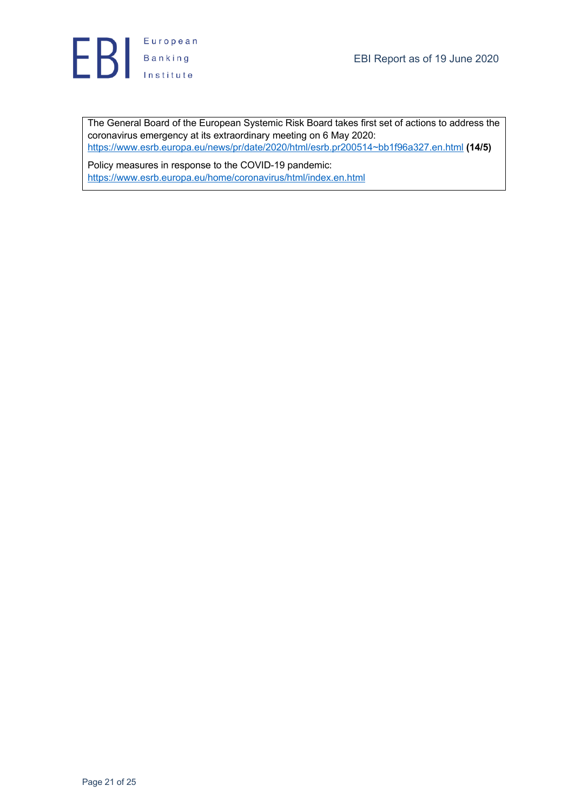

The General Board of the European Systemic Risk Board takes first set of actions to address the coronavirus emergency at its extraordinary meeting on 6 May 2020: https://www.esrb.europa.eu/news/pr/date/2020/html/esrb.pr200514~bb1f96a327.en.html **(14/5)**

Policy measures in response to the COVID-19 pandemic: https://www.esrb.europa.eu/home/coronavirus/html/index.en.html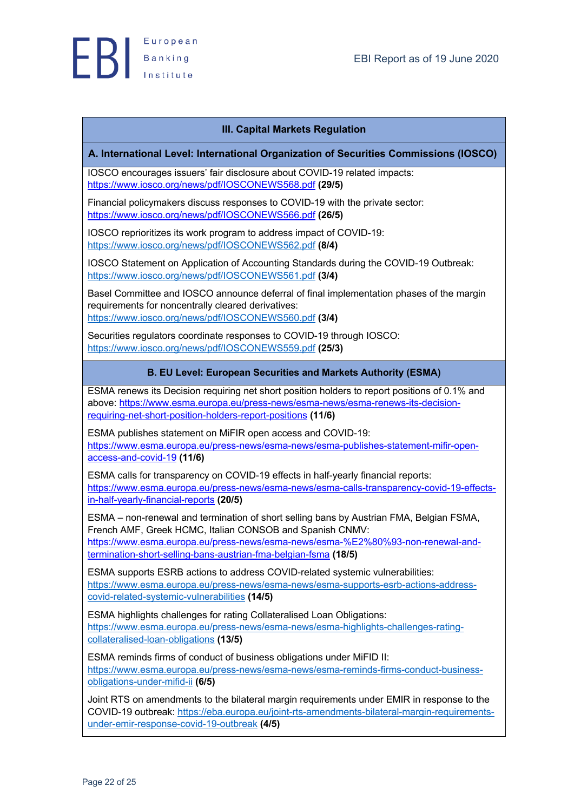

# **III. Capital Markets Regulation**

## **A. International Level: International Organization of Securities Commissions (IOSCO)**

IOSCO encourages issuers' fair disclosure about COVID-19 related impacts: https://www.iosco.org/news/pdf/IOSCONEWS568.pdf **(29/5)**

Financial policymakers discuss responses to COVID-19 with the private sector: https://www.iosco.org/news/pdf/IOSCONEWS566.pdf **(26/5)**

IOSCO reprioritizes its work program to address impact of COVID-19: https://www.iosco.org/news/pdf/IOSCONEWS562.pdf **(8/4)**

IOSCO Statement on Application of Accounting Standards during the COVID-19 Outbreak: https://www.iosco.org/news/pdf/IOSCONEWS561.pdf **(3/4)**

Basel Committee and IOSCO announce deferral of final implementation phases of the margin requirements for noncentrally cleared derivatives: https://www.iosco.org/news/pdf/IOSCONEWS560.pdf **(3/4)**

Securities regulators coordinate responses to COVID-19 through IOSCO: https://www.iosco.org/news/pdf/IOSCONEWS559.pdf **(25/3)**

# **B. EU Level: European Securities and Markets Authority (ESMA)**

ESMA renews its Decision requiring net short position holders to report positions of 0.1% and above: https://www.esma.europa.eu/press-news/esma-news/esma-renews-its-decisionrequiring-net-short-position-holders-report-positions **(11/6)**

ESMA publishes statement on MiFIR open access and COVID-19: https://www.esma.europa.eu/press-news/esma-news/esma-publishes-statement-mifir-openaccess-and-covid-19 **(11/6)**

ESMA calls for transparency on COVID-19 effects in half-yearly financial reports: https://www.esma.europa.eu/press-news/esma-news/esma-calls-transparency-covid-19-effectsin-half-yearly-financial-reports **(20/5)**

ESMA – non-renewal and termination of short selling bans by Austrian FMA, Belgian FSMA, French AMF, Greek HCMC, Italian CONSOB and Spanish CNMV: https://www.esma.europa.eu/press-news/esma-news/esma-%E2%80%93-non-renewal-andtermination-short-selling-bans-austrian-fma-belgian-fsma **(18/5)**

ESMA supports ESRB actions to address COVID-related systemic vulnerabilities: https://www.esma.europa.eu/press-news/esma-news/esma-supports-esrb-actions-addresscovid-related-systemic-vulnerabilities **(14/5)**

ESMA highlights challenges for rating Collateralised Loan Obligations: https://www.esma.europa.eu/press-news/esma-news/esma-highlights-challenges-ratingcollateralised-loan-obligations **(13/5)**

ESMA reminds firms of conduct of business obligations under MiFID II: https://www.esma.europa.eu/press-news/esma-news/esma-reminds-firms-conduct-businessobligations-under-mifid-ii **(6/5)**

Joint RTS on amendments to the bilateral margin requirements under EMIR in response to the COVID-19 outbreak: https://eba.europa.eu/joint-rts-amendments-bilateral-margin-requirementsunder-emir-response-covid-19-outbreak **(4/5)**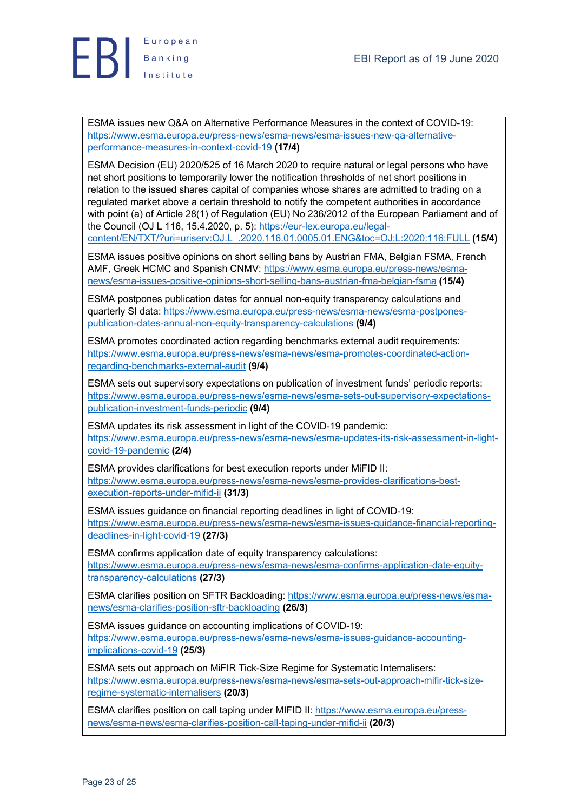

ESMA issues new Q&A on Alternative Performance Measures in the context of COVID-19: https://www.esma.europa.eu/press-news/esma-news/esma-issues-new-qa-alternativeperformance-measures-in-context-covid-19 **(17/4)**

ESMA Decision (EU) 2020/525 of 16 March 2020 to require natural or legal persons who have net short positions to temporarily lower the notification thresholds of net short positions in relation to the issued shares capital of companies whose shares are admitted to trading on a regulated market above a certain threshold to notify the competent authorities in accordance with point (a) of Article 28(1) of Regulation (EU) No 236/2012 of the European Parliament and of the Council (OJ L 116, 15.4.2020, p. 5): https://eur-lex.europa.eu/legalcontent/EN/TXT/?uri=uriserv:OJ.L\_.2020.116.01.0005.01.ENG&toc=OJ:L:2020:116:FULL **(15/4)**

ESMA issues positive opinions on short selling bans by Austrian FMA, Belgian FSMA, French AMF, Greek HCMC and Spanish CNMV: https://www.esma.europa.eu/press-news/esmanews/esma-issues-positive-opinions-short-selling-bans-austrian-fma-belgian-fsma **(15/4)**

ESMA postpones publication dates for annual non-equity transparency calculations and quarterly SI data: https://www.esma.europa.eu/press-news/esma-news/esma-postponespublication-dates-annual-non-equity-transparency-calculations **(9/4)**

ESMA promotes coordinated action regarding benchmarks external audit requirements: https://www.esma.europa.eu/press-news/esma-news/esma-promotes-coordinated-actionregarding-benchmarks-external-audit **(9/4)**

ESMA sets out supervisory expectations on publication of investment funds' periodic reports: https://www.esma.europa.eu/press-news/esma-news/esma-sets-out-supervisory-expectationspublication-investment-funds-periodic **(9/4)**

ESMA updates its risk assessment in light of the COVID-19 pandemic: https://www.esma.europa.eu/press-news/esma-news/esma-updates-its-risk-assessment-in-lightcovid-19-pandemic **(2/4)**

ESMA provides clarifications for best execution reports under MiFID II: https://www.esma.europa.eu/press-news/esma-news/esma-provides-clarifications-bestexecution-reports-under-mifid-ii **(31/3)**

ESMA issues guidance on financial reporting deadlines in light of COVID-19: https://www.esma.europa.eu/press-news/esma-news/esma-issues-guidance-financial-reportingdeadlines-in-light-covid-19 **(27/3)**

ESMA confirms application date of equity transparency calculations: https://www.esma.europa.eu/press-news/esma-news/esma-confirms-application-date-equitytransparency-calculations **(27/3)**

ESMA clarifies position on SFTR Backloading: https://www.esma.europa.eu/press-news/esmanews/esma-clarifies-position-sftr-backloading **(26/3)**

ESMA issues guidance on accounting implications of COVID-19: https://www.esma.europa.eu/press-news/esma-news/esma-issues-guidance-accountingimplications-covid-19 **(25/3)**

ESMA sets out approach on MiFIR Tick-Size Regime for Systematic Internalisers: https://www.esma.europa.eu/press-news/esma-news/esma-sets-out-approach-mifir-tick-sizeregime-systematic-internalisers **(20/3)**

ESMA clarifies position on call taping under MIFID II: https://www.esma.europa.eu/pressnews/esma-news/esma-clarifies-position-call-taping-under-mifid-ii **(20/3)**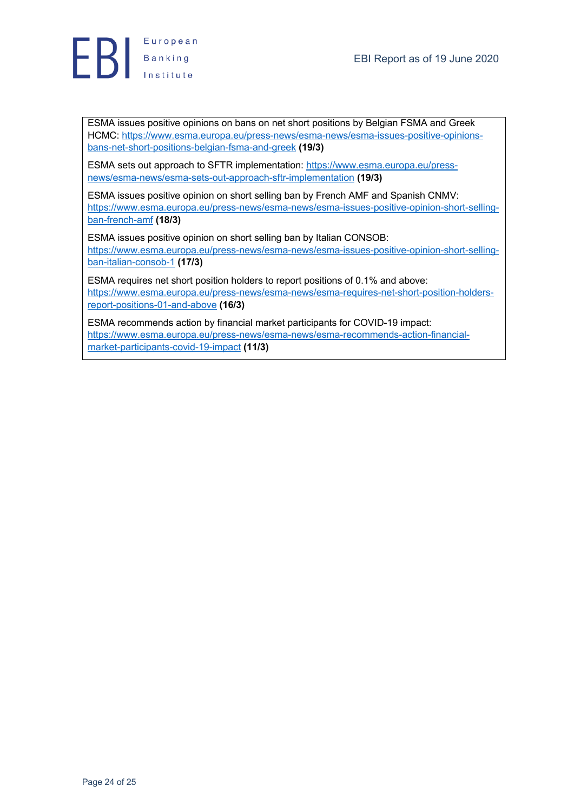

ESMA issues positive opinions on bans on net short positions by Belgian FSMA and Greek HCMC: https://www.esma.europa.eu/press-news/esma-news/esma-issues-positive-opinionsbans-net-short-positions-belgian-fsma-and-greek **(19/3)**

ESMA sets out approach to SFTR implementation: https://www.esma.europa.eu/pressnews/esma-news/esma-sets-out-approach-sftr-implementation **(19/3)**

ESMA issues positive opinion on short selling ban by French AMF and Spanish CNMV: https://www.esma.europa.eu/press-news/esma-news/esma-issues-positive-opinion-short-sellingban-french-amf **(18/3)**

ESMA issues positive opinion on short selling ban by Italian CONSOB: https://www.esma.europa.eu/press-news/esma-news/esma-issues-positive-opinion-short-sellingban-italian-consob-1 **(17/3)**

ESMA requires net short position holders to report positions of 0.1% and above: https://www.esma.europa.eu/press-news/esma-news/esma-requires-net-short-position-holdersreport-positions-01-and-above **(16/3)**

ESMA recommends action by financial market participants for COVID-19 impact: https://www.esma.europa.eu/press-news/esma-news/esma-recommends-action-financialmarket-participants-covid-19-impact **(11/3)**